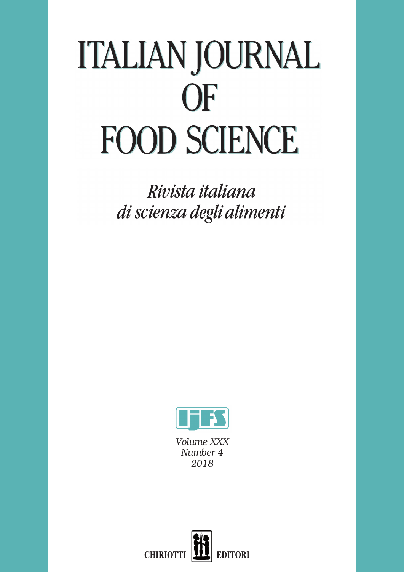# ITALIAN JOURNAL OF **FOOD SCIENCE**

Rivista italiana di scienza degli alimenti



*Volume XXX Number 4 2018*

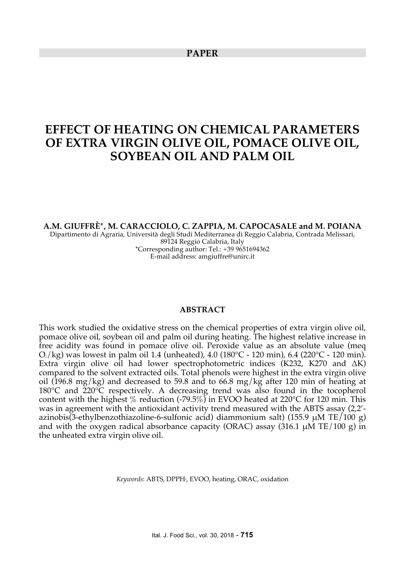#### **PAPER**

# **EFFECT OF HEATING ON CHEMICAL PARAMETERS OF EXTRA VIRGIN OLIVE OIL, POMACE OLIVE OIL, SOYBEAN OIL AND PALM OIL**

**A.M. GIUFFRÈ\*, M. CARACCIOLO, C. ZAPPIA, M. CAPOCASALE and M. POIANA** Dipartimento di Agraria, Università degli Studi Mediterranea di Reggio Calabria, Contrada Melissari, 89124 Reggio Calabria, Italy \*Corresponding author: Tel.: +39 9651694362 E-mail address: amgiuffre@unirc.it

#### **ABSTRACT**

This work studied the oxidative stress on the chemical properties of extra virgin olive oil, pomace olive oil, soybean oil and palm oil during heating. The highest relative increase in free acidity was found in pomace olive oil. Peroxide value as an absolute value (meq  $O_1/kg$ ) was lowest in palm oil 1.4 (unheated), 4.0 (180°C - 120 min), 6.4 (220°C - 120 min). Extra virgin olive oil had lower spectrophotometric indices (K232, K270 and ∆K) compared to the solvent extracted oils. Total phenols were highest in the extra virgin olive oil (196.8 mg/kg) and decreased to 59.8 and to 66.8 mg/kg after 120 min of heating at 180°C and 220°C respectively. A decreasing trend was also found in the tocopherol content with the highest  $\%$  reduction (-79.5%) in EVOO heated at 220 °C for 120 min. This was in agreement with the antioxidant activity trend measured with the ABTS assay (2,2' azinobis(3-ethylbenzothiazoline-6-sulfonic acid) diammonium salt) (155.9  $\mu$ M TE/100 g) and with the oxygen radical absorbance capacity (ORAC) assay (316.1  $\mu$ M TE/100 g) in the unheated extra virgin olive oil.

Keywords: ABTS, DPPH·, EVOO, heating, ORAC, oxidation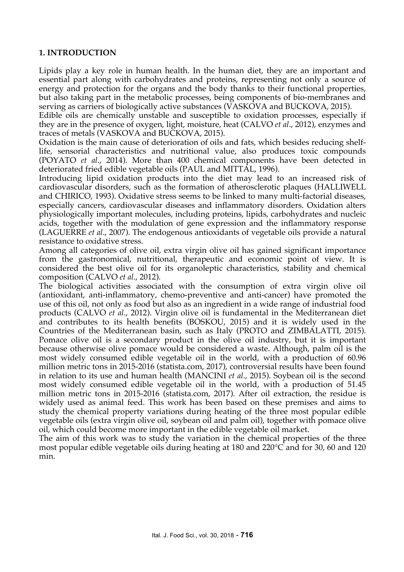#### **1. INTRODUCTION**

Lipids play a key role in human health. In the human diet, they are an important and essential part along with carbohydrates and proteins, representing not only a source of energy and protection for the organs and the body thanks to their functional properties, but also taking part in the metabolic processes, being components of bio-membranes and serving as carriers of biologically active substances (VASKOVA and BUCKOVA, 2015).

Edible oils are chemically unstable and susceptible to oxidation processes, especially if they are in the presence of oxygen, light, moisture, heat (CALVO *et al*., 2012), enzymes and traces of metals (VASKOVA and BUCKOVA, 2015).

Oxidation is the main cause of deterioration of oils and fats, which besides reducing shelflife, sensorial characteristics and nutritional value, also produces toxic compounds (POYATO *et al*., 2014). More than 400 chemical components have been detected in deteriorated fried edible vegetable oils (PAUL and MITTAL, 1996).

Introducing lipid oxidation products into the diet may lead to an increased risk of cardiovascular disorders, such as the formation of atherosclerotic plaques (HALLIWELL and CHIRICO, 1993). Oxidative stress seems to be linked to many multi-factorial diseases, especially cancers, cardiovascular diseases and inflammatory disorders. Oxidation alters physiologically important molecules, including proteins, lipids, carbohydrates and nucleic acids, together with the modulation of gene expression and the inflammatory response (LAGUERRE *et al*., 2007). The endogenous antioxidants of vegetable oils provide a natural resistance to oxidative stress.

Among all categories of olive oil, extra virgin olive oil has gained significant importance from the gastronomical, nutritional, therapeutic and economic point of view. It is considered the best olive oil for its organoleptic characteristics, stability and chemical composition (CALVO *et al*., 2012).

The biological activities associated with the consumption of extra virgin olive oil (antioxidant, anti-inflammatory, chemo-preventive and anti-cancer) have promoted the use of this oil, not only as food but also as an ingredient in a wide range of industrial food products (CALVO *et al*., 2012). Virgin olive oil is fundamental in the Mediterranean diet and contributes to its health benefits (BOSKOU, 2015) and it is widely used in the Countries of the Mediterranean basin, such as Italy (PROTO and ZIMBALATTI, 2015). Pomace olive oil is a secondary product in the olive oil industry, but it is important because otherwise olive pomace would be considered a waste. Although, palm oil is the most widely consumed edible vegetable oil in the world, with a production of 60.96 million metric tons in 2015-2016 (statista.com, 2017), controversial results have been found in relation to its use and human health (MANCINI *et al*., 2015). Soybean oil is the second most widely consumed edible vegetable oil in the world, with a production of 51.45 million metric tons in 2015-2016 (statista.com, 2017). After oil extraction, the residue is widely used as animal feed. This work has been based on these premises and aims to study the chemical property variations during heating of the three most popular edible vegetable oils (extra virgin olive oil, soybean oil and palm oil), together with pomace olive oil, which could become more important in the edible vegetable oil market.

The aim of this work was to study the variation in the chemical properties of the three most popular edible vegetable oils during heating at 180 and 220°C and for 30, 60 and 120 min.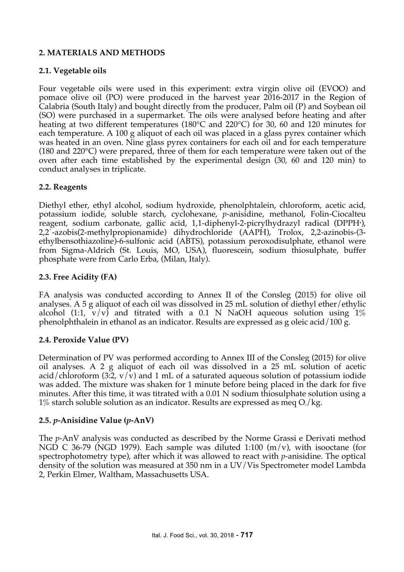# **2. MATERIALS AND METHODS**

#### **2.1. Vegetable oils**

Four vegetable oils were used in this experiment: extra virgin olive oil (EVOO) and pomace olive oil (PO) were produced in the harvest year 2016-2017 in the Region of Calabria (South Italy) and bought directly from the producer, Palm oil (P) and Soybean oil (SO) were purchased in a supermarket. The oils were analysed before heating and after heating at two different temperatures (180°C and 220°C) for 30, 60 and 120 minutes for each temperature. A 100 g aliquot of each oil was placed in a glass pyrex container which was heated in an oven. Nine glass pyrex containers for each oil and for each temperature (180 and 220 $\degree$ C) were prepared, three of them for each temperature were taken out of the oven after each time established by the experimental design (30, 60 and 120 min) to conduct analyses in triplicate.

#### **2.2. Reagents**

Diethyl ether, ethyl alcohol, sodium hydroxide, phenolphtalein, chloroform, acetic acid, potassium iodide, soluble starch, cyclohexane, *p*-anisidine, methanol, Folin-Ciocalteu reagent, sodium carbonate, gallic acid, 1,1-diphenyl-2-picrylhydrazyl radical (DPPH·), 2,2΄-azobis(2-methylpropionamide) dihydrochloride (AAPH), Trolox, 2,2-azinobis-(3 ethylbensothiazoline)-6-sulfonic acid (ABTS), potassium peroxodisulphate, ethanol were from Sigma-Aldrich (St. Louis, MO, USA), fluorescein, sodium thiosulphate, buffer phosphate were from Carlo Erba, (Milan, Italy).

#### **2.3. Free Acidity (FA)**

FA analysis was conducted according to Annex II of the Consleg (2015) for olive oil analyses. A 5 g aliquot of each oil was dissolved in 25 mL solution of diethyl ether/ethylic alcohol (1:1,  $v/v$ ) and titrated with a 0.1 N NaOH aqueous solution using  $1\%$ phenolphthalein in ethanol as an indicator. Results are expressed as g oleic acid/100 g.

#### **2.4. Peroxide Value (PV)**

Determination of PV was performed according to Annex III of the Consleg (2015) for olive oil analyses. A 2 g aliquot of each oil was dissolved in a 25 mL solution of acetic acid/chloroform (3:2,  $v/v$ ) and 1 mL of a saturated aqueous solution of potassium iodide was added. The mixture was shaken for 1 minute before being placed in the dark for five minutes. After this time, it was titrated with a 0.01 N sodium thiosulphate solution using a 1% starch soluble solution as an indicator. Results are expressed as meq  $O_2/kg$ .

#### **2.5.** *p***-Anisidine Value (***p***-AnV)**

The *p*-AnV analysis was conducted as described by the Norme Grassi e Derivati method NGD C 36-79 (NGD 1979). Each sample was diluted 1:100 (m/v), with isooctane (for spectrophotometry type), after which it was allowed to react with *p*-anisidine. The optical density of the solution was measured at 350 nm in a UV/Vis Spectrometer model Lambda 2, Perkin Elmer, Waltham, Massachusetts USA.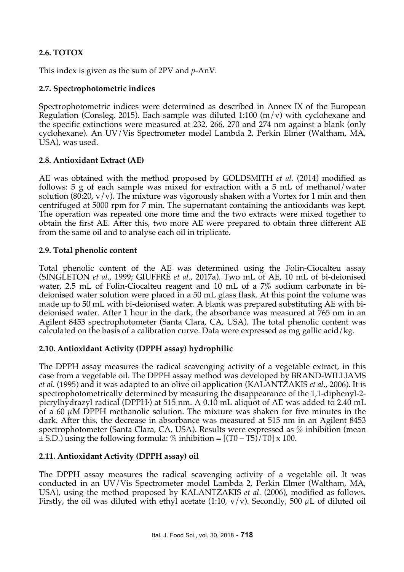# **2.6. TOTOX**

This index is given as the sum of 2PV and *p*-AnV.

# **2.7. Spectrophotometric indices**

Spectrophotometric indices were determined as described in Annex IX of the European Regulation (Consleg, 2015). Each sample was diluted 1:100  $(m/v)$  with cyclohexane and the specific extinctions were measured at 232, 266, 270 and 274 nm against a blank (only cyclohexane). An UV/Vis Spectrometer model Lambda 2, Perkin Elmer (Waltham, MA, USA), was used.

# **2.8. Antioxidant Extract (AE)**

AE was obtained with the method proposed by GOLDSMITH *et al.* (2014) modified as follows: 5 g of each sample was mixed for extraction with a 5 mL of methanol/water solution (80:20,  $v/v$ ). The mixture was vigorously shaken with a Vortex for 1 min and then centrifuged at 5000 rpm for 7 min. The supernatant containing the antioxidants was kept. The operation was repeated one more time and the two extracts were mixed together to obtain the first AE. After this, two more AE were prepared to obtain three different AE from the same oil and to analyse each oil in triplicate.

#### **2.9. Total phenolic content**

Total phenolic content of the AE was determined using the Folin-Ciocalteu assay (SINGLETON *et al*., 1999; GIUFFRÈ *et al*., 2017a). Two mL of AE, 10 mL of bi-deionised water, 2.5 mL of Folin-Ciocalteu reagent and 10 mL of a 7% sodium carbonate in bideionised water solution were placed in a 50 mL glass flask. At this point the volume was made up to 50 mL with bi-deionised water. A blank was prepared substituting AE with bideionised water. After 1 hour in the dark, the absorbance was measured at 765 nm in an Agilent 8453 spectrophotometer (Santa Clara, CA, USA). The total phenolic content was calculated on the basis of a calibration curve. Data were expressed as mg gallic acid/kg.

# **2.10. Antioxidant Activity (DPPH assay) hydrophilic**

The DPPH assay measures the radical scavenging activity of a vegetable extract, in this case from a vegetable oil. The DPPH assay method was developed by BRAND-WILLIAMS *et al*. (1995) and it was adapted to an olive oil application (KALANTZAKIS *et al*., 2006). It is spectrophotometrically determined by measuring the disappearance of the 1,1-diphenyl-2 picrylhydrazyl radical (DPPH•) at 515 nm. A 0.10 mL aliquot of AE was added to 2.40 mL of a 60  $\mu$ M DPPH methanolic solution. The mixture was shaken for five minutes in the dark. After this, the decrease in absorbance was measured at 515 nm in an Agilent 8453 spectrophotometer (Santa Clara, CA, USA). Results were expressed as % inhibition (mean  $\pm$  S.D.) using the following formula: % inhibition = [(T0 – T5)/T0] x 100.

# **2.11. Antioxidant Activity (DPPH assay) oil**

The DPPH assay measures the radical scavenging activity of a vegetable oil. It was conducted in an UV/Vis Spectrometer model Lambda 2, Perkin Elmer (Waltham, MA, USA), using the method proposed by KALANTZAKIS *et al*. (2006), modified as follows. Firstly, the oil was diluted with ethyl acetate (1:10,  $v/v$ ). Secondly, 500  $\mu$ L of diluted oil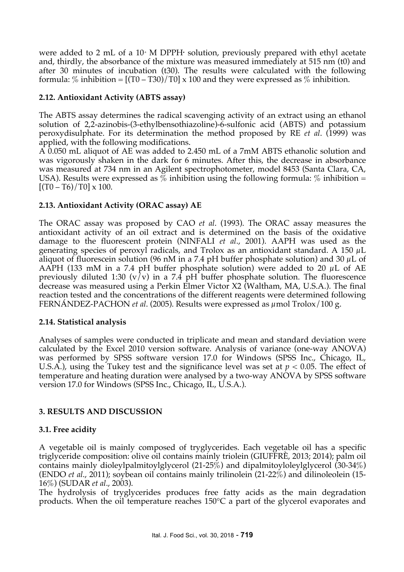were added to 2 mL of a  $10<sup>4</sup>$  M DPPH $\cdot$  solution, previously prepared with ethyl acetate and, thirdly, the absorbance of the mixture was measured immediately at 515 nm (t0) and after 30 minutes of incubation (t30). The results were calculated with the following formula:  $\%$  inhibition =  $[(T0 - T30)/T0] \times 100$  and they were expressed as  $\%$  inhibition.

# **2.12. Antioxidant Activity (ABTS assay)**

The ABTS assay determines the radical scavenging activity of an extract using an ethanol solution of 2,2-azinobis-(3-ethylbensothiazoline)-6-sulfonic acid (ABTS) and potassium peroxydisulphate. For its determination the method proposed by RE *et al*. (1999) was applied, with the following modifications.

A 0.050 mL aliquot of AE was added to 2.450 mL of a 7mM ABTS ethanolic solution and was vigorously shaken in the dark for 6 minutes. After this, the decrease in absorbance was measured at 734 nm in an Agilent spectrophotometer, model 8453 (Santa Clara, CA, USA). Results were expressed as  $\%$  inhibition using the following formula:  $\%$  inhibition =  $[(T0 - T6)/T0] \times 100$ .

#### **2.13. Antioxidant Activity (ORAC assay) AE**

The ORAC assay was proposed by CAO *et al*. (1993). The ORAC assay measures the antioxidant activity of an oil extract and is determined on the basis of the oxidative damage to the fluorescent protein (NINFALI *et al*., 2001). AAPH was used as the generating species of peroxyl radicals, and Trolox as an antioxidant standard. A 150  $\mu$ L aliquot of fluorescein solution (96 nM in a 7.4 pH buffer phosphate solution) and 30  $\mu$ L of AAPH (133 mM in a 7.4 pH buffer phosphate solution) were added to 20  $\mu$ L of AE previously diluted 1:30 (v/v) in a 7.4 pH buffer phosphate solution. The fluorescence decrease was measured using a Perkin Elmer Victor X2 (Waltham, MA, U.S.A.). The final reaction tested and the concentrations of the different reagents were determined following FERNÁNDEZ-PACHON *et al*. (2005). Results were expressed as µmol Trolox/100 g.

#### **2.14. Statistical analysis**

Analyses of samples were conducted in triplicate and mean and standard deviation were calculated by the Excel 2010 version software. Analysis of variance (one-way ANOVA) was performed by SPSS software version 17.0 for Windows (SPSS Inc., Chicago, IL, U.S.A.), using the Tukey test and the significance level was set at *p* < 0.05. The effect of temperature and heating duration were analysed by a two-way ANOVA by SPSS software version 17.0 for Windows (SPSS Inc., Chicago, IL, U.S.A.).

# **3. RESULTS AND DISCUSSION**

# **3.1. Free acidity**

A vegetable oil is mainly composed of tryglycerides. Each vegetable oil has a specific triglyceride composition: olive oil contains mainly triolein (GIUFFRÈ, 2013; 2014); palm oil contains mainly dioleylpalmitoylglycerol (21-25%) and dipalmitoyloleylglycerol (30-34%) (ENDO *et al*., 2011); soybean oil contains mainly trilinolein (21-22%) and dilinoleolein (15- 16%) (SUDAR *et al*., 2003).

The hydrolysis of tryglycerides produces free fatty acids as the main degradation products. When the oil temperature reaches 150°C a part of the glycerol evaporates and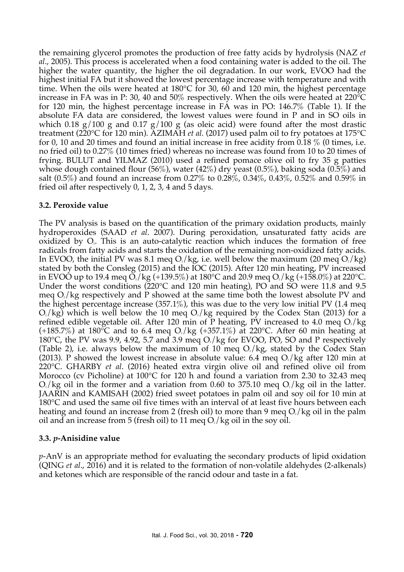the remaining glycerol promotes the production of free fatty acids by hydrolysis (NAZ *et al*., 2005). This process is accelerated when a food containing water is added to the oil. The higher the water quantity, the higher the oil degradation. In our work, EVOO had the highest initial FA but it showed the lowest percentage increase with temperature and with time. When the oils were heated at 180°C for 30, 60 and 120 min, the highest percentage increase in FA was in P: 30, 40 and 50% respectively. When the oils were heated at 220°C for 120 min, the highest percentage increase in FA was in PO: 146.7% (Table 1). If the absolute FA data are considered, the lowest values were found in P and in SO oils in which 0.18  $g/100 g$  and 0.17  $g/100 g$  (as oleic acid) were found after the most drastic treatment (220°C for 120 min). AZIMAH *et al.* (2017) used palm oil to fry potatoes at 175°C for 0, 10 and 20 times and found an initial increase in free acidity from 0.18  $\%$  (0 times, i.e. no fried oil) to 0.27% (10 times fried) whereas no increase was found from 10 to 20 times of frying. BULUT and YILMAZ (2010) used a refined pomace olive oil to fry 35 g patties whose dough contained flour (56%), water (42%) dry yeast (0.5%), baking soda (0.5%) and salt (0.5%) and found an increase from 0.27% to 0.28%, 0.34%, 0.43%, 0.52% and 0.59% in fried oil after respectively 0, 1, 2, 3, 4 and 5 days.

# **3.2. Peroxide value**

The PV analysis is based on the quantification of the primary oxidation products, mainly hydroperoxides (SAAD *et al*. 2007). During peroxidation, unsaturated fatty acids are oxidized by  $O<sub>2</sub>$ . This is an auto-catalytic reaction which induces the formation of free radicals from fatty acids and starts the oxidation of the remaining non-oxidized fatty acids. In EVOO, the initial PV was 8.1 meq  $O_2/kg$ , i.e. well below the maximum (20 meq  $O_2/kg$ ) stated by both the Consleg (2015) and the IOC (2015). After 120 min heating, PV increased in EVOO up to 19.4 meq  $\tilde{O}_2/kg$  (+139.5%) at 180°C and 20.9 meq  $O_2/kg$  (+158.0%) at 220°C. Under the worst conditions (220°C and 120 min heating), PO and SO were 11.8 and 9.5 meg  $Q_2/kg$  respectively and P showed at the same time both the lowest absolute PV and the highest percentage increase (357.1%), this was due to the very low initial PV (1.4 meq  $O_2/kg$ ) which is well below the 10 meq  $O_2/kg$  required by the Codex Stan (2013) for a refined edible vegetable oil. After 120 min of P heating, PV increased to 4.0 meq  $O<sub>2</sub>/kg$ (+185.7%) at 180°C and to 6.4 meq  $O_1/kg$  (+357.1%) at 220°C. After 60 min heating at 180 $\degree$ C, the PV was 9.9, 4.92, 5.7 and 3.9 meg O<sub>2</sub>/kg for EVOO, PO, SO and P respectively (Table 2), i.e. always below the maximum of 10 meq  $O_2/kg$ , stated by the Codex Stan (2013). P showed the lowest increase in absolute value: 6.4 meq  $O_2/kg$  after 120 min at 220°C. GHARBY *et al*. (2016) heated extra virgin olive oil and refined olive oil from Morocco (cv Picholine) at 100°C for 120 h and found a variation from 2.30 to 32.43 meq  $O_2$ /kg oil in the former and a variation from 0.60 to 375.10 meq  $O_2$ /kg oil in the latter. JAARIN and KAMISAH (2002) fried sweet potatoes in palm oil and soy oil for 10 min at 180°C and used the same oil five times with an interval of at least five hours between each heating and found an increase from 2 (fresh oil) to more than 9 meq  $O_2/kg$  oil in the palm oil and an increase from 5 (fresh oil) to 11 meg  $O_2/kg$  oil in the soy oil.

# **3.3.** *p***-Anisidine value**

*p*-AnV is an appropriate method for evaluating the secondary products of lipid oxidation (QING *et al*., 2016) and it is related to the formation of non-volatile aldehydes (2-alkenals) and ketones which are responsible of the rancid odour and taste in a fat.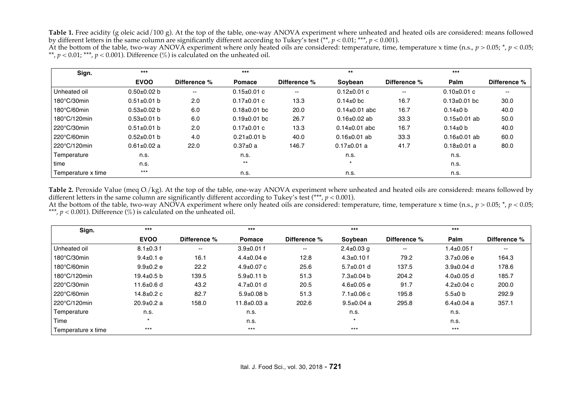**Table 1.** Free acidity (g oleic acid/100 g). At the top of the table, one-way ANOVA experiment where unheated and heated oils are considered: means followed by different letters in the same column are significantly different according to Tukey's test (\*\*, *p* < 0.01; \*\*\*, *p* < 0.001).

At the bottom of the table, two-way ANOVA experiment where only heated oils are considered: temperature, time, temperature x time (n.s.,  $p > 0.05$ ; \*,  $p < 0.05$ ) \*\*,  $p < 0.01$ ; \*\*\*,  $p < 0.001$ ). Difference (%) is calculated on the unheated oil.

| Sign.                 | $***$             |              | $***$              |                          | $***$               |                          | $***$              |                          |
|-----------------------|-------------------|--------------|--------------------|--------------------------|---------------------|--------------------------|--------------------|--------------------------|
|                       | <b>EVOO</b>       | Difference % | <b>Pomace</b>      | Difference %             | Soybean             | Difference %             | Palm               | Difference %             |
| Unheated oil          | $0.50\pm0.02$ b   | --           | $0.15 \pm 0.01$ c  | $\overline{\phantom{a}}$ | $0.12 \pm 0.01$ c   | $\overline{\phantom{a}}$ | $0.10\pm0.01$ c    | $\overline{\phantom{a}}$ |
| 180°C/30min           | $0.51 \pm 0.01$ b | 2.0          | $0.17 \pm 0.01$ c  | 13.3                     | $0.14 \pm 0$ bc     | 16.7                     | $0.13 \pm 0.01$ bc | 30.0                     |
| 180°C/60min           | $0.53 \pm 0.02$ b | 6.0          | $0.18 \pm 0.01$ bc | 20.0                     | $0.14 \pm 0.01$ abc | 16.7                     | $0.14 \pm 0$ b     | 40.0                     |
| 180°C/120min          | $0.53 \pm 0.01$ b | 6.0          | $0.19 \pm 0.01$ bc | 26.7                     | $0.16 \pm 0.02$ ab  | 33.3                     | $0.15 \pm 0.01$ ab | 50.0                     |
| 220°C/30min           | $0.51 \pm 0.01$ b | 2.0          | $0.17 \pm 0.01$ c  | 13.3                     | $0.14 \pm 0.01$ abc | 16.7                     | $0.14 \pm 0$ b     | 40.0                     |
| $220^{\circ}$ C/60min | $0.52 \pm 0.01$ b | 4.0          | $0.21 \pm 0.01$ b  | 40.0                     | $0.16 \pm 0.01$ ab  | 33.3                     | $0.16 \pm 0.01$ ab | 60.0                     |
| 220°C/120min          | $0.61 \pm 0.02$ a | 22.0         | $0.37+0a$          | 146.7                    | $0.17 \pm 0.01$ a   | 41.7                     | $0.18 \pm 0.01$ a  | 80.0                     |
| Temperature           | n.s.              |              | n.s.               |                          | n.s.                |                          | n.s.               |                          |
| time                  | n.s.              |              | $***$              |                          | $\star$             |                          | n.s.               |                          |
| Temperature x time    | $***$             |              | n.s.               |                          | n.s.                |                          | n.s.               |                          |

Table 2. Peroxide Value (meq O<sub>2</sub>/kg). At the top of the table, one-way ANOVA experiment where unheated and heated oils are considered: means followed by different letters in the same column are significantly different according to Tukey's test (\*\*\*,  $p < 0.001$ ).

At the bottom of the table, two-way ANOVA experiment where only heated oils are considered: temperature, time, temperature x time (n.s.,  $p > 0.05$ ;  $\hbar$ ,  $p < 0.05$ ; \*\*\*,  $p < 0.001$ ). Difference  $(\%)$  is calculated on the unheated oil.

| Sign.                 | $***$            |                          | $***$             |                          | $***$            |              | $***$            |                          |
|-----------------------|------------------|--------------------------|-------------------|--------------------------|------------------|--------------|------------------|--------------------------|
|                       | <b>EVOO</b>      | Difference %             | <b>Pomace</b>     | Difference %             | Soybean          | Difference % | Palm             | Difference %             |
| Unheated oil          | $8.1 \pm 0.3$ f  | $\overline{\phantom{a}}$ | $3.9 \pm 0.01$ f  | $\overline{\phantom{a}}$ | $2.4 \pm 0.03$ g | ۰.           | $1.4 \pm 0.05$ f | $\overline{\phantom{a}}$ |
| 180°C/30min           | $9.4 \pm 0.1$ e  | 16.1                     | $4.4 \pm 0.04$ e  | 12.8                     | $4.3 \pm 0.10$ f | 79.2         | $3.7 \pm 0.06$ e | 164.3                    |
| $180^{\circ}$ C/60min | $9.9 \pm 0.2 e$  | 22.2                     | $4.9 \pm 0.07$ c  | 25.6                     | $5.7\pm0.01$ d   | 137.5        | $3.9 \pm 0.04$ d | 178.6                    |
| 180°C/120min          | $19.4\pm0.5$ b   | 139.5                    | $5.9 \pm 0.11$ b  | 51.3                     | $7.3 \pm 0.04$ b | 204.2        | $4.0\pm0.05$ d   | 185.7                    |
| 220°C/30min           | 11.6 $\pm$ 0.6 d | 43.2                     | $4.7\pm0.01$ d    | 20.5                     | $4.6 \pm 0.05$ e | 91.7         | $4.2 \pm 0.04$ c | 200.0                    |
| $220^{\circ}$ C/60min | $14.8 \pm 0.2$ c | 82.7                     | $5.9 \pm 0.08$ b  | 51.3                     | $7.1 \pm 0.06$ c | 195.8        | $5.5 \pm 0$ b    | 292.9                    |
| 220°C/120min          | $20.9+0.2a$      | 158.0                    | $11.8 \pm 0.03$ a | 202.6                    | $9.5 \pm 0.04$ a | 295.8        | $6.4 \pm 0.04$ a | 357.1                    |
| Temperature           | n.s.             |                          | n.s.              |                          | n.s.             |              | n.s.             |                          |
| Time                  | $\star$          |                          | n.s.              |                          | $\ddot{}$        |              | n.s.             |                          |
| Temperature x time    | $***$            |                          | $***$             |                          | $***$            |              | $***$            |                          |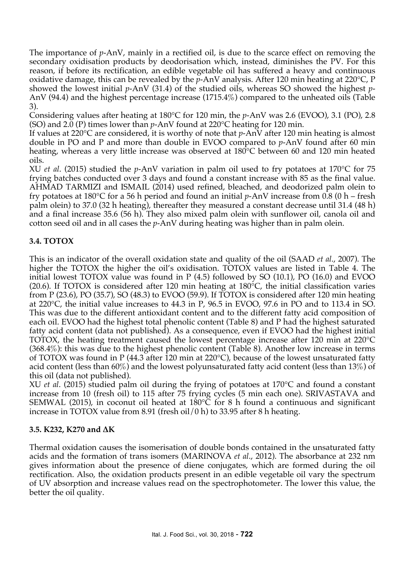The importance of *p*-AnV, mainly in a rectified oil, is due to the scarce effect on removing the secondary oxidisation products by deodorisation which, instead, diminishes the PV. For this reason, if before its rectification, an edible vegetable oil has suffered a heavy and continuous oxidative damage, this can be revealed by the *p*-AnV analysis. After 120 min heating at 220°C, P showed the lowest initial *p*-AnV (31.4) of the studied oils, whereas SO showed the highest *p*-AnV (94.4) and the highest percentage increase (1715.4%) compared to the unheated oils (Table 3).

Considering values after heating at 180°C for 120 min, the *p*-AnV was 2.6 (EVOO), 3.1 (PO), 2.8 (SO) and 2.0 (P) times lower than *p*-AnV found at 220°C heating for 120 min.

If values at 220°C are considered, it is worthy of note that *p*-AnV after 120 min heating is almost double in PO and P and more than double in EVOO compared to *p*-AnV found after 60 min heating, whereas a very little increase was observed at 180<sup>o</sup>C between 60 and 120 min heated oils.

XU *et al*. (2015) studied the *p*-AnV variation in palm oil used to fry potatoes at 170°C for 75 frying batches conducted over 3 days and found a constant increase with 85 as the final value. AHMAD TARMIZI and ISMAIL (2014) used refined, bleached, and deodorized palm olein to fry potatoes at 180°C for a 56 h period and found an initial *p*-AnV increase from 0.8 (0 h – fresh palm olein) to 37.0 (32 h heating), thereafter they measured a constant decrease until 31.4 (48 h) and a final increase 35.6 (56 h). They also mixed palm olein with sunflower oil, canola oil and cotton seed oil and in all cases the *p*-AnV during heating was higher than in palm olein.

# **3.4. TOTOX**

This is an indicator of the overall oxidation state and quality of the oil (SAAD *et al*., 2007). The higher the TOTOX the higher the oil's oxidisation. TOTOX values are listed in Table 4. The initial lowest TOTOX value was found in P (4.5) followed by SO (10.1), PO (16.0) and EVOO (20.6). If TOTOX is considered after 120 min heating at 180°C, the initial classification varies from P (23.6), PO (35.7), SO (48.3) to EVOO (59.9). If TOTOX is considered after 120 min heating at 220°C, the initial value increases to 44.3 in P, 96.5 in EVOO, 97.6 in PO and to 113.4 in SO. This was due to the different antioxidant content and to the different fatty acid composition of each oil. EVOO had the highest total phenolic content (Table 8) and P had the highest saturated fatty acid content (data not published). As a consequence, even if EVOO had the highest initial TOTOX, the heating treatment caused the lowest percentage increase after 120 min at 220°C (368.4%): this was due to the highest phenolic content (Table 8). Another low increase in terms of TOTOX was found in P (44.3 after 120 min at 220°C), because of the lowest unsaturated fatty acid content (less than 60%) and the lowest polyunsaturated fatty acid content (less than 13%) of this oil (data not published).

XU *et al*. (2015) studied palm oil during the frying of potatoes at 170°C and found a constant increase from 10 (fresh oil) to 115 after 75 frying cycles (5 min each one). SRIVASTAVA and SEMWAL (2015), in coconut oil heated at 180°C for 8 h found a continuous and significant increase in TOTOX value from 8.91 (fresh oil/0 h) to 33.95 after 8 h heating.

#### **3.5. K232, K270 and ∆K**

Thermal oxidation causes the isomerisation of double bonds contained in the unsaturated fatty acids and the formation of trans isomers (MARINOVA *et al*., 2012). The absorbance at 232 nm gives information about the presence of diene conjugates, which are formed during the oil rectification. Also, the oxidation products present in an edible vegetable oil vary the spectrum of UV absorption and increase values read on the spectrophotometer. The lower this value, the better the oil quality.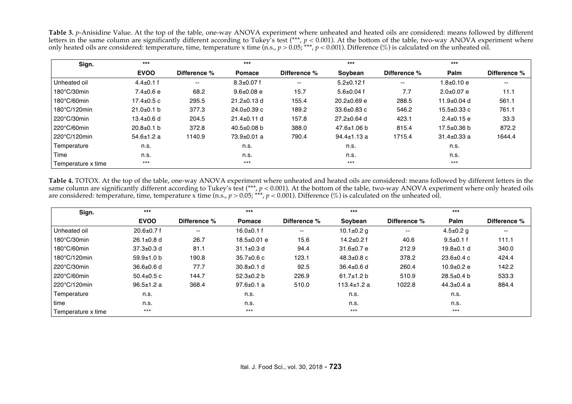**Table 3.** *p*-Anisidine Value. At the top of the table, one-way ANOVA experiment where unheated and heated oils are considered: means followed by different letters in the same column are significantly different according to Tukey's test (\*\*\*, *p* < 0.001). At the bottom of the table, two-way ANOVA experiment where only heated oils are considered: temperature, time, temperature x time  $(n.s., p > 0.05; **$ ,  $p < 0.001$ ). Difference  $(\%)$  is calculated on the unheated oil.

| Sign.                 | $***$            |                          | $***$             |                          | $***$             |              | $***$             |                          |
|-----------------------|------------------|--------------------------|-------------------|--------------------------|-------------------|--------------|-------------------|--------------------------|
|                       | <b>EVOO</b>      | Difference %             | <b>Pomace</b>     | Difference %             | Soybean           | Difference % | Palm              | Difference %             |
| Unheated oil          | $4.4 \pm 0.1$ f  | $\overline{\phantom{a}}$ | $8.3 \pm 0.07$ f  | $\overline{\phantom{a}}$ | $5.2 \pm 0.12$ f  | --           | 1.8±0.10 e        | $\overline{\phantom{a}}$ |
| $180^{\circ}$ C/30min | $7.4 \pm 0.6$ e  | 68.2                     | $9.6 \pm 0.08$ e  | 15.7                     | $5.6 \pm 0.04$ f  | 7.7          | $2.0 \pm 0.07$ e  | 11.1                     |
| $180^{\circ}$ C/60min | $17.4 \pm 0.5$ c | 295.5                    | $21.2 \pm 0.13$ d | 155.4                    | $20.2 \pm 0.69$ e | 288.5        | $11.9 \pm 0.04$ d | 561.1                    |
| 180°C/120min          | $21.0+0.1$ b     | 377.3                    | $24.0 \pm 0.39$ c | 189.2                    | $33.6 \pm 0.83$ c | 546.2        | $15.5 \pm 0.33$ c | 761.1                    |
| 220°C/30min           | $13.4 \pm 0.6$ d | 204.5                    | $21.4 \pm 0.11$ d | 157.8                    | $27.2 \pm 0.64$ d | 423.1        | $2.4 \pm 0.15$ e  | 33.3                     |
| 220°C/60min           | $20.8 \pm 0.1$ b | 372.8                    | $40.5 \pm 0.08$ b | 388.0                    | $47.6 \pm 1.06$ b | 815.4        | 17.5±0.36 b       | 872.2                    |
| 220°C/120min          | $54.6 \pm 1.2$ a | 1140.9                   | $73.9 \pm 0.01$ a | 790.4                    | $94.4 \pm 1.13$ a | 1715.4       | $31.4 \pm 0.33$ a | 1644.4                   |
| Temperature           | n.s.             |                          | n.s.              |                          | n.s.              |              | n.s.              |                          |
| Time                  | n.s.             |                          | n.s.              |                          | n.s.              |              | n.s.              |                          |
| Temperature x time    | $***$            |                          | $***$             |                          | $***$             |              | $***$             |                          |

**Table 4.** TOTOX*.* At the top of the table, one-way ANOVA experiment where unheated and heated oils are considered: means followed by different letters in the same column are significantly different according to Tukey's test (\*\*\*,  $p < 0.001$ ). At the bottom of the table, two-way ANOVA experiment where only heated oils are considered: temperature, time, temperature x time  $(n.s., p > 0.05; **$ ,  $p < 0.001$ ). Difference  $(\%)$  is calculated on the unheated oil.

| Sign.                 | $***$            |                          | $***$             |              | $***$             |              | $***$            |              |
|-----------------------|------------------|--------------------------|-------------------|--------------|-------------------|--------------|------------------|--------------|
|                       | <b>EVOO</b>      | Difference %             | Pomace            | Difference % | Soybean           | Difference % | Palm             | Difference % |
| Unheated oil          | $20.6 \pm 0.7$ f | $\overline{\phantom{a}}$ | $16.0 \pm 0.1$ f  | $\sim$       | 10.1 $\pm$ 0.2 q  | --           | $4.5 \pm 0.2$ q  | $- -$        |
| $180^{\circ}$ C/30min | $26.1 \pm 0.8$ d | 26.7                     | $18.5 \pm 0.01$ e | 15.6         | $14.2 \pm 0.2$ f  | 40.6         | $9.5 \pm 0.1$ f  | 111.1        |
| $180^{\circ}$ C/60min | $37.3 \pm 0.3$ d | 81.1                     | $31.1 \pm 0.3$ d  | 94.4         | $31.6 \pm 0.7$ e  | 212.9        | $19.8 \pm 0.1$ d | 340.0        |
| 180°C/120min          | $59.9 \pm 1.0$ b | 190.8                    | $35.7 \pm 0.6$ c  | 123.1        | $48.3 \pm 0.8$ c  | 378.2        | $23.6 \pm 0.4$ c | 424.4        |
| 220°C/30min           | $36.6 \pm 0.6$ d | 77.7                     | $30.8 \pm 0.1$ d  | 92.5         | $36.4 \pm 0.6$ d  | 260.4        | $10.9 + 0.2 e$   | 142.2        |
| $220^{\circ}$ C/60min | $50.4 \pm 0.5$ c | 144.7                    | $52.3 \pm 0.2 b$  | 226.9        | $61.7 \pm 1.2$ b  | 510.9        | $28.5 \pm 0.4$ b | 533.3        |
| 220°C/120min          | $96.5 \pm 1.2 a$ | 368.4                    | $97.6 \pm 0.1$ a  | 510.0        | $113.4 \pm 1.2$ a | 1022.8       | $44.3 \pm 0.4$ a | 884.4        |
| Temperature           | n.s.             |                          | n.s.              |              | n.s.              |              | n.s.             |              |
| time                  | n.s.             |                          | n.s.              |              | n.s.              |              | n.s.             |              |
| Temperature x time    | $***$            |                          | $***$             |              | $***$             |              | $***$            |              |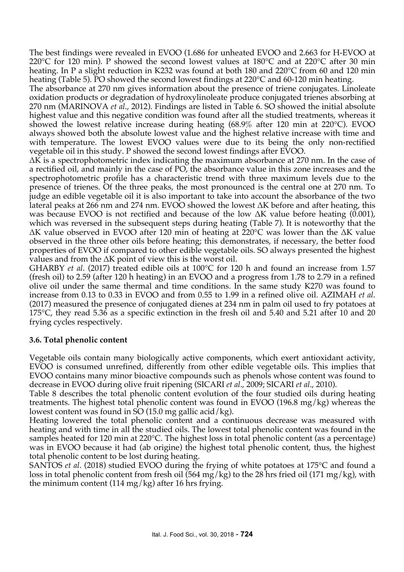The best findings were revealed in EVOO (1.686 for unheated EVOO and 2.663 for H-EVOO at 220°C for 120 min). P showed the second lowest values at 180°C and at 220°C after 30 min heating. In P a slight reduction in K232 was found at both 180 and 220°C from 60 and 120 min heating (Table 5). PO showed the second lowest findings at 220°C and 60-120 min heating.

The absorbance at 270 nm gives information about the presence of triene conjugates. Linoleate oxidation products or degradation of hydroxylinoleate produce conjugated trienes absorbing at 270 nm (MARINOVA *et al*., 2012). Findings are listed in Table 6. SO showed the initial absolute highest value and this negative condition was found after all the studied treatments, whereas it showed the lowest relative increase during heating (68.9% after 120 min at 220°C). EVOO always showed both the absolute lowest value and the highest relative increase with time and with temperature. The lowest EVOO values were due to its being the only non-rectified vegetable oil in this study. P showed the second lowest findings after EVOO.

∆K is a spectrophotometric index indicating the maximum absorbance at 270 nm. In the case of a rectified oil, and mainly in the case of PO, the absorbance value in this zone increases and the spectrophotometric profile has a characteristic trend with three maximum levels due to the presence of trienes. Of the three peaks, the most pronounced is the central one at 270 nm. To judge an edible vegetable oil it is also important to take into account the absorbance of the two lateral peaks at 266 nm and 274 nm. EVOO showed the lowest ∆K before and after heating, this was because EVOO is not rectified and because of the low  $\Delta K$  value before heating (0.001), which was reversed in the subsequent steps during heating (Table 7). It is noteworthy that the ∆K value observed in EVOO after 120 min of heating at 220°C was lower than the ∆K value observed in the three other oils before heating; this demonstrates, if necessary, the better food properties of EVOO if compared to other edible vegetable oils. SO always presented the highest values and from the ∆K point of view this is the worst oil.

GHARBY *et al*. (2017) treated edible oils at 100°C for 120 h and found an increase from 1.57 (fresh oil) to 2.59 (after 120 h heating) in an EVOO and a progress from 1.78 to 2.79 in a refined olive oil under the same thermal and time conditions. In the same study K270 was found to increase from 0.13 to 0.33 in EVOO and from 0.55 to 1.99 in a refined olive oil. AZIMAH *et al*. (2017) measured the presence of conjugated dienes at 234 nm in palm oil used to fry potatoes at 175°C, they read 5.36 as a specific extinction in the fresh oil and 5.40 and 5.21 after 10 and 20 frying cycles respectively.

#### **3.6. Total phenolic content**

Vegetable oils contain many biologically active components, which exert antioxidant activity, EVOO is consumed unrefined, differently from other edible vegetable oils. This implies that EVOO contains many minor bioactive compounds such as phenols whose content was found to decrease in EVOO during olive fruit ripening (SICARI *et al*., 2009; SICARI *et al*., 2010).

Table 8 describes the total phenolic content evolution of the four studied oils during heating treatments. The highest total phenolic content was found in EVOO (196.8 mg/kg) whereas the lowest content was found in SO (15.0 mg gallic acid/kg).

Heating lowered the total phenolic content and a continuous decrease was measured with heating and with time in all the studied oils. The lowest total phenolic content was found in the samples heated for 120 min at 220°C. The highest loss in total phenolic content (as a percentage) was in EVOO because it had (ab origine) the highest total phenolic content, thus, the highest total phenolic content to be lost during heating.

SANTOS *et al*. (2018) studied EVOO during the frying of white potatoes at 175°C and found a loss in total phenolic content from fresh oil (564 mg/kg) to the 28 hrs fried oil (171 mg/kg), with the minimum content (114 mg/kg) after 16 hrs frying.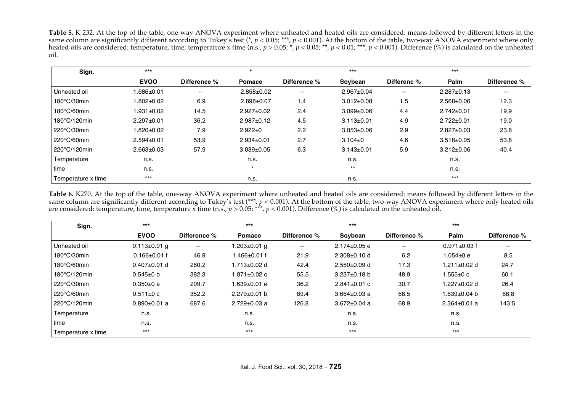**Table 5.** K 232. At the top of the table, one-way ANOVA experiment where unheated and heated oils are considered: means followed by different letters in the same column are significantly different according to Tukey's test (\*, *p* < 0.05; \*\*\*, *p* < 0.001). At the bottom of the table, two-way ANOVA experiment where only heated oils are considered: temperature, time, temperature x time (n.s.,  $p > 0.05$ ; \*,  $p < 0.05$ ; \*\*,  $p < 0.01$ ; \*\*\*,  $p < 0.001$ ). Difference (%) is calculated on the unheated oil.

| Sign.                 | $***$            |               |                  |              | $***$            |             | $***$            |                          |
|-----------------------|------------------|---------------|------------------|--------------|------------------|-------------|------------------|--------------------------|
|                       | <b>EVOO</b>      | Difference %  | <b>Pomace</b>    | Difference % | Soybean          | Differenc % | Palm             | Difference %             |
| Unheated oil          | 1.686±0.01       | $\sim$ $\sim$ | $2.858 \pm 0.02$ | $- -$        | $2.967 \pm 0.04$ | $- -$       | $2.287 \pm 0.13$ | $\overline{\phantom{a}}$ |
| 180°C/30min           | 1.802±0.02       | 6.9           | $2.898 \pm 0.07$ | 1.4          | $3.012 \pm 0.08$ | 1.5         | $2.568 + 0.06$   | 12.3                     |
| 180°C/60min           | $1.931 \pm 0.02$ | 14.5          | $2.927 \pm 0.02$ | 2.4          | $3.099 + 0.06$   | 4.4         | $2.742 \pm 0.01$ | 19.9                     |
| 180°C/120min          | $2.297 \pm 0.01$ | 36.2          | $2.987 \pm 0.12$ | 4.5          | $3.113 \pm 0.01$ | 4.9         | $2.722 \pm 0.01$ | 19.0                     |
| 220°C/30min           | 1.820±0.02       | 7.9           | $2.922 \pm 0$    | 2.2          | $3.053 \pm 0.06$ | 2.9         | $2.827 \pm 0.03$ | 23.6                     |
| $220^{\circ}$ C/60min | $2.594 \pm 0.01$ | 53.9          | $2.934\pm0.01$   | 2.7          | $3.104 \pm 0$    | 4.6         | $3.518 \pm 0.05$ | 53.8                     |
| 220°C/120min          | $2.663 \pm 0.03$ | 57.9          | $3.039 \pm 0.05$ | 6.3          | $3.143 \pm 0.01$ | 5.9         | $3.212 \pm 0.06$ | 40.4                     |
| Temperature           | n.s.             |               | n.s.             |              | n.s.             |             | n.s.             |                          |
| time                  | n.s.             |               | $\star$          |              | $***$            |             | n.s.             |                          |
| Temperature x time    | $***$            |               | n.s.             |              | n.s.             |             | $***$            |                          |

**Table 6.** K270. At the top of the table, one-way ANOVA experiment where unheated and heated oils are considered: means followed by different letters in the same column are significantly different according to Tukey's test (\*\*\*, *p* < 0.001). At the bottom of the table, two-way ANOVA experiment where only heated oils are considered: temperature, time, temperature x time (n.s., *p* > 0.05; \*\*\*, *p* < 0.001). Difference (%) is calculated on the unheated oil.

| Sign.                 | $***$              |                          | $***$              |                          | $***$              |              | $***$              |              |
|-----------------------|--------------------|--------------------------|--------------------|--------------------------|--------------------|--------------|--------------------|--------------|
|                       | <b>EVOO</b>        | Difference %             | <b>Pomace</b>      | Difference %             | Soybean            | Difference % | Palm               | Difference % |
| Unheated oil          | $0.113 \pm 0.01$ q | $\overline{\phantom{a}}$ | l.203±0.01 q       | $\overline{\phantom{a}}$ | $2.174 \pm 0.05$ e | $- -$        | $0.971 \pm 0.03$ f | --           |
| 180°C/30min           | $0.166 \pm 0.01$ f | 46.9                     | 1.466±0.01 f       | 21.9                     | $2.308 \pm 0.10$ d | 6.2          | $1.054 \pm 0$ e    | 8.5          |
| $180^{\circ}$ C/60min | $0.407 \pm 0.01$ d | 260.2                    | $1.713 \pm 0.02$ d | 42.4                     | $2.550+0.09$ d     | 17.3         | 1.211 $\pm$ 0.02 d | 24.7         |
| 180°C/120min          | $0.545 \pm 0$ b    | 382.3                    | 1.871±0.02 c       | 55.5                     | $3.237 \pm 0.18$ b | 48.9         | $1.555 \pm 0$ c    | 60.1         |
| 220°C/30min           | $0.350+0e$         | 209.7                    | 1.639±0.01 e       | 36.2                     | $2.841 \pm 0.01$ c | 30.7         | 1.227 $\pm$ 0.02 d | 26.4         |
| $220^{\circ}$ C/60min | $0.511 \pm 0 c$    | 352.2                    | $2.279 \pm 0.01$ b | 89.4                     | $3.664 \pm 0.03$ a | 68.5         | $1.639 \pm 0.04$ b | 68.8         |
| 220°C/120min          | $0.890 \pm 0.01$ a | 687.6                    | $2.729 \pm 0.03$ a | 126.8                    | $3.672 \pm 0.04$ a | 68.9         | $2.364 \pm 0.01$ a | 143.5        |
| Temperature           | n.s.               |                          | n.s.               |                          | n.s.               |              | n.s.               |              |
| time                  | n.s.               |                          | n.s.               |                          | n.s.               |              | n.s.               |              |
| Temperature x time    | $***$              |                          | $***$              |                          | $***$              |              | $***$              |              |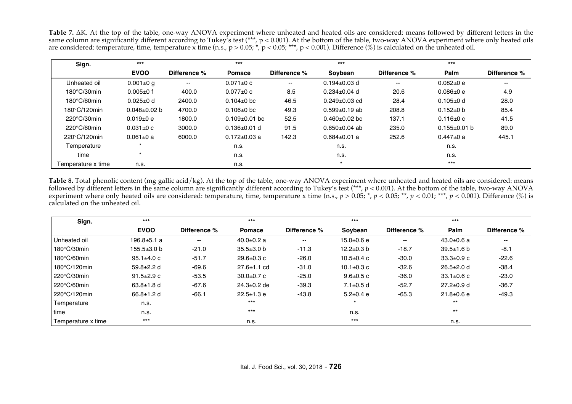Table 7. ∆K. At the top of the table, one-way ANOVA experiment where unheated and heated oils are considered: means followed by different letters in the same column are significantly different according to Tukey's test (\*\*\*, p < 0.001). At the bottom of the table, two-way ANOVA experiment where only heated oils are considered: temperature, time, temperature x time (n.s.,  $p > 0.05$ ; \*,  $p < 0.05$ ; \*\*\*,  $p < 0.001$ ). Difference (%) is calculated on the unheated oil.

| Sign.                  | $***$              |                          | $***$               |              | $***$               |                          | $***$              |                          |
|------------------------|--------------------|--------------------------|---------------------|--------------|---------------------|--------------------------|--------------------|--------------------------|
|                        | <b>EVOO</b>        | Difference %             | <b>Pomace</b>       | Difference % | Soybean             | Difference %             | Palm               | Difference %             |
| Unheated oil           | $0.001 \pm 0$ q    | $\overline{\phantom{a}}$ | $0.071 \pm 0$ c     | $\sim$       | $0.194 \pm 0.03$ d  | $\overline{\phantom{a}}$ | $0.082 + 0e$       | $\overline{\phantom{a}}$ |
| 180°C/30min            | $0.005+0$ f        | 400.0                    | $0.077 \pm 0$ c     | 8.5          | $0.234 \pm 0.04$ d  | 20.6                     | $0.086 \pm 0$ e    | 4.9                      |
| $180^{\circ}$ C/60min  | $0.025 \pm 0$ d    | 2400.0                   | $0.104 \pm 0$ bc    | 46.5         | $0.249 \pm 0.03$ cd | 28.4                     | $0.105 + 0d$       | 28.0                     |
| 180°C/120min           | $0.048 \pm 0.02$ b | 4700.0                   | $0.106 \pm 0$ bc    | 49.3         | $0.599 \pm 0.19$ ab | 208.8                    | $0.152+0$ b        | 85.4                     |
| $220^{\circ}$ C/30min  | $0.019+0e$         | 1800.0                   | $0.109 \pm 0.01$ bc | 52.5         | $0.460 + 0.02$ bc   | 137.1                    | $0.116 \pm 0 c$    | 41.5                     |
| $220^{\circ}$ C/60min  | $0.031 \pm 0$ c    | 3000.0                   | $0.136 \pm 0.01$ d  | 91.5         | $0.650 \pm 0.04$ ab | 235.0                    | $0.155 \pm 0.01$ b | 89.0                     |
| $220^{\circ}$ C/120min | $0.061 \pm 0 a$    | 6000.0                   | $0.172 \pm 0.03$ a  | 142.3        | $0.684 \pm 0.01$ a  | 252.6                    | $0.447 \pm 0 a$    | 445.1                    |
| Temperature            | $\star$            |                          | n.s.                |              | n.s.                |                          | n.s.               |                          |
| time                   | $\star$            |                          | n.s.                |              | n.s.                |                          | n.s.               |                          |
| Temperature x time     | n.s.               |                          | n.s.                |              | $\star$             |                          | $***$              |                          |

**Table 8.** Total phenolic content (mg gallic acid/kg). At the top of the table, one-way ANOVA experiment where unheated and heated oils are considered: means followed by different letters in the same column are significantly different according to Tukey's test (\*\*\*, *p* < 0.001). At the bottom of the table, two-way ANOVA experiment where only heated oils are considered: temperature, time, temperature x time (n.s., *p* > 0.05; \*, *p* < 0.05; \*\*, *p* < 0.01; \*\*\*, *p* < 0.001). Difference (%) is calculated on the unheated oil.

| Sign.                 | $***$                    |                          | $***$             |                          | $***$            |                          | $***$            |              |
|-----------------------|--------------------------|--------------------------|-------------------|--------------------------|------------------|--------------------------|------------------|--------------|
|                       | <b>EVOO</b>              | Difference %             | <b>Pomace</b>     | Difference %             | Soybean          | Difference %             | Palm             | Difference % |
| Unheated oil          | $196.8 + 5.1 a$          | $\overline{\phantom{a}}$ | $40.0 + 0.2 a$    | $\overline{\phantom{a}}$ | $15.0 \pm 0.6$ e | $\overline{\phantom{a}}$ | $43.0 \pm 0.6$ a | $\sim$       |
| $180^{\circ}$ C/30min | $155.5 \pm 3.0$ b        | $-21.0$                  | $35.5 \pm 3.0$ b  | $-11.3$                  | $12.2 \pm 0.3$ b | $-18.7$                  | $39.5 \pm 1.6$ b | $-8.1$       |
| $180^{\circ}$ C/60min | $95.1 \pm 4.0 \text{ c}$ | $-51.7$                  | $29.6 \pm 0.3$ c  | $-26.0$                  | $10.5 \pm 0.4$ c | $-30.0$                  | $33.3 \pm 0.9$ c | $-22.6$      |
| 180°C/120min          | $59.8 \pm 2.2$ d         | $-69.6$                  | $27.6 \pm 1.1$ cd | $-31.0$                  | $10.1 \pm 0.3$ c | $-32.6$                  | $26.5 \pm 2.0$ d | $-38.4$      |
| $220^{\circ}$ C/30min | $91.5 \pm 2.9$ c         | $-53.5$                  | $30.0 + 0.7c$     | $-25.0$                  | $9.6 \pm 0.5$ c  | $-36.0$                  | $33.1 \pm 0.6$ c | $-23.0$      |
| $220^{\circ}$ C/60min | $63.8 \pm 1.8$ d         | $-67.6$                  | $24.3 \pm 0.2$ de | $-39.3$                  | $7.1 \pm 0.5$ d  | $-52.7$                  | $27.2 \pm 0.9$ d | $-36.7$      |
| 220°C/120min          | $66.8 \pm 1.2$ d         | $-66.1$                  | $22.5 \pm 1.3$ e  | $-43.8$                  | $5.2 \pm 0.4$ e  | $-65.3$                  | $21.8 \pm 0.6$ e | $-49.3$      |
| Temperature           | n.s.                     |                          | $***$             |                          | $\star$          |                          | $***$            |              |
| time                  | n.s.                     |                          | $***$             |                          | n.s.             |                          | $***$            |              |
| Temperature x time    | $***$                    |                          | n.s.              |                          | $***$            |                          | n.s.             |              |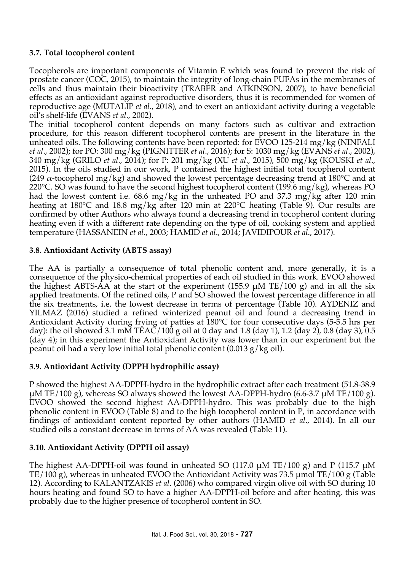# **3.7. Total tocopherol content**

Tocopherols are important components of Vitamin E which was found to prevent the risk of prostate cancer (COC, 2015), to maintain the integrity of long-chain PUFAs in the membranes of cells and thus maintain their bioactivity (TRABER and ATKINSON, 2007), to have beneficial effects as an antioxidant against reproductive disorders, thus it is recommended for women of reproductive age (MUTALIP *et al*., 2018), and to exert an antioxidant activity during a vegetable oil's shelf-life (EVANS *et al*., 2002).

The initial tocopherol content depends on many factors such as cultivar and extraction procedure, for this reason different tocopherol contents are present in the literature in the unheated oils. The following contents have been reported: for EVOO 125-214 mg/kg (NINFALI *et al*., 2002); for PO: 300 mg/kg (PIGNITTER *et al*., 2016); for S: 1030 mg/kg (EVANS *et al*., 2002), 340 mg/kg (GRILO *et al*., 2014); for P: 201 mg/kg (XU *et al*., 2015), 500 mg/kg (KOUSKI *et al*., 2015). In the oils studied in our work, P contained the highest initial total tocopherol content (249  $\alpha$ -tocopherol mg/kg) and showed the lowest percentage decreasing trend at 180 °C and at 220 $\degree$ C. SO was found to have the second highest tocopherol content (199.6 mg/kg), whereas PO had the lowest content i.e. 68.6 mg/kg in the unheated PO and 37.3 mg/kg after 120 min heating at 180°C and 18.8 mg/kg after 120 min at 220°C heating (Table 9). Our results are confirmed by other Authors who always found a decreasing trend in tocopherol content during heating even if with a different rate depending on the type of oil, cooking system and applied temperature (HASSANEIN *et al*., 2003; HAMID *et al*., 2014; JAVIDIPOUR *et al*., 2017).

#### **3.8. Antioxidant Activity (ABTS assay)**

The AA is partially a consequence of total phenolic content and, more generally, it is a consequence of the physico-chemical properties of each oil studied in this work. EVOO showed the highest ABTS-AA at the start of the experiment (155.9  $\mu$ M TE/100 g) and in all the six applied treatments. Of the refined oils, P and SO showed the lowest percentage difference in all the six treatments, i.e. the lowest decrease in terms of percentage (Table 10). AYDENIZ and YILMAZ (2016) studied a refined winterized peanut oil and found a decreasing trend in Antioxidant Activity during frying of patties at 180°C for four consecutive days (5-5.5 hrs per day): the oil showed 3.1 mM TEAC/100 g oil at 0 day and 1.8 (day 1), 1.2 (day 2), 0.8 (day 3), 0.5 (day 4); in this experiment the Antioxidant Activity was lower than in our experiment but the peanut oil had a very low initial total phenolic content  $(0.013 \text{ g/kg}$  oil).

# **3.9. Antioxidant Activity (DPPH hydrophilic assay)**

P showed the highest AA-DPPH-hydro in the hydrophilic extract after each treatment (51.8-38.9  $\mu$ M TE/100 g), whereas SO always showed the lowest AA-DPPH-hydro (6.6-3.7  $\mu$ M TE/100 g). EVOO showed the second highest AA-DPPH-hydro. This was probably due to the high phenolic content in EVOO (Table 8) and to the high tocopherol content in P, in accordance with findings of antioxidant content reported by other authors (HAMID *et al*., 2014). In all our studied oils a constant decrease in terms of AA was revealed (Table 11).

#### **3.10. Antioxidant Activity (DPPH oil assay)**

The highest AA-DPPH-oil was found in unheated SO (117.0  $\mu$ M TE/100 g) and P (115.7  $\mu$ M TE/100 g), whereas in unheated EVOO the Antioxidant Activity was  $73.5 \mu mol TE/100 g$  (Table 12). According to KALANTZAKIS *et al*. (2006) who compared virgin olive oil with SO during 10 hours heating and found SO to have a higher AA-DPPH-oil before and after heating, this was probably due to the higher presence of tocopherol content in SO.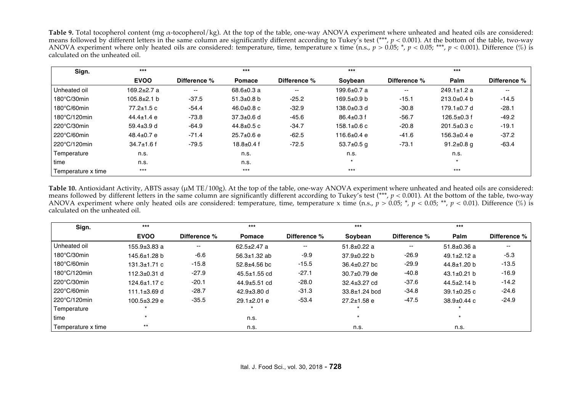**Table 9.** Total tocopherol content (mg α-tocopherol/kg). At the top of the table, one-way ANOVA experiment where unheated and heated oils are considered: means followed by different letters in the same column are significantly different according to Tukey's test (\*\*\*, *p* < 0.001). At the bottom of the table, two-way ANOVA experiment where only heated oils are considered: temperature, time, temperature x time (n.s.,  $p > 0.05$ ; \*,  $p < 0.05$ ; \*\*\*,  $p < 0.001$ ). Difference (%) is calculated on the unheated oil.

| Sign.                 | $***$             |                          | $***$            |                          | $***$             |                          | $***$             |              |
|-----------------------|-------------------|--------------------------|------------------|--------------------------|-------------------|--------------------------|-------------------|--------------|
|                       | <b>EVOO</b>       | Difference %             | <b>Pomace</b>    | Difference %             | Soybean           | Difference %             | Palm              | Difference % |
| Unheated oil          | $169.2 \pm 2.7$ a | $\overline{\phantom{a}}$ | $68.6 \pm 0.3 a$ | $\overline{\phantom{a}}$ | $199.6 \pm 0.7 a$ | $\overline{\phantom{a}}$ | $249.1 \pm 1.2$ a | $\mathbf{u}$ |
| 180°C/30min           | $105.8 \pm 2.1$ b | $-37.5$                  | $51.3 \pm 0.8$ b | $-25.2$                  | $169.5+0.9 b$     | $-15.1$                  | $213.0+0.4$ b     | $-14.5$      |
| 180°C/60min           | $77.2 \pm 1.5$ c  | $-54.4$                  | $46.0 \pm 0.8$ c | $-32.9$                  | $138.0 + 0.3$ d   | $-30.8$                  | $179.1 \pm 0.7$ d | $-28.1$      |
| 180°C/120min          | $44.4 \pm 1.4 e$  | $-73.8$                  | $37.3 \pm 0.6$ d | $-45.6$                  | $86.4 \pm 0.3$ f  | $-56.7$                  | $126.5 \pm 0.3$ f | $-49.2$      |
| $220^{\circ}$ C/30min | $59.4 \pm 3.9$ d  | $-64.9$                  | $44.8 \pm 0.5$ c | $-34.7$                  | $158.1 \pm 0.6$ c | $-20.8$                  | $201.5 \pm 0.3$ c | $-19.1$      |
| $220^{\circ}$ C/60min | $48.4 \pm 0.7 e$  | $-71.4$                  | $25.7 \pm 0.6$ e | $-62.5$                  | $116.6 \pm 0.4 e$ | $-41.6$                  | $156.3 \pm 0.4$ e | $-37.2$      |
| 220°C/120min          | $34.7 \pm 1.6$ f  | $-79.5$                  | $18.8 + 0.4$ f   | $-72.5$                  | $53.7 \pm 0.5$ q  | $-73.1$                  | $91.2 \pm 0.8$ q  | $-63.4$      |
| Temperature           | n.s.              |                          | n.s.             |                          | n.s.              |                          | n.s.              |              |
| time                  | n.s.              |                          | n.s.             |                          | $\star$           |                          | $\star$           |              |
| Temperature x time    | $***$             |                          | $***$            |                          | $***$             |                          | $***$             |              |

Table 10. Antioxidant Activity, ABTS assay (µM TE/100g). At the top of the table, one-way ANOVA experiment where unheated and heated oils are considered: means followed by different letters in the same column are significantly different according to Tukey's test (\*\*\*, *p* < 0.001). At the bottom of the table, two-way ANOVA experiment where only heated oils are considered: temperature, time, temperature x time (n.s.,  $p > 0.05$ ; \*,  $p < 0.05$ ; \*\*,  $p < 0.01$ ). Difference (%) is calculated on the unheated oil.

| Sign.                 | $***$              |              | $***$              |                          | $***$               |              | $***$             |              |
|-----------------------|--------------------|--------------|--------------------|--------------------------|---------------------|--------------|-------------------|--------------|
|                       | <b>EVOO</b>        | Difference % | <b>Pomace</b>      | Difference %             | Soybean             | Difference % | Palm              | Difference % |
| Unheated oil          | $155.9 \pm 3.83$ a | --           | $62.5 \pm 2.47$ a  | $\overline{\phantom{a}}$ | $51.8 \pm 0.22$ a   | --           | $51.8 \pm 0.36$ a | ۰.           |
| 180°C/30min           | $145.6 \pm 1.28$ b | $-6.6$       | $56.3 \pm 1.32$ ab | $-9.9$                   | $37.9 \pm 0.22$ b   | $-26.9$      | 49.1±2.12 a       | $-5.3$       |
| 180°C/60min           | $131.3 \pm 1.71$ c | $-15.8$      | $52.8 + 4.56$ bc   | $-15.5$                  | $36.4 \pm 0.27$ bc  | $-29.9$      | $44.8 \pm 1.20$ b | $-13.5$      |
| 180°C/120min          | 112.3±0.31 d       | $-27.9$      | $45.5 \pm 1.55$ cd | $-27.1$                  | $30.7 \pm 0.79$ de  | $-40.8$      | $43.1 \pm 0.21$ b | $-16.9$      |
| $220^{\circ}$ C/30min | $124.6 \pm 1.17$ c | $-20.1$      | $44.9 \pm 5.51$ cd | $-28.0$                  | $32.4 \pm 3.27$ cd  | $-37.6$      | $44.5 \pm 2.14$ b | $-14.2$      |
| $220^{\circ}$ C/60min | $111.1\pm 3.69$ d  | $-28.7$      | $42.9 \pm 3.80$ d  | $-31.3$                  | $33.8 \pm 1.24$ bcd | $-34.8$      | $39.1 \pm 0.25$ c | $-24.6$      |
| 220°C/120min          | $100.5 \pm 3.29$ e | $-35.5$      | $29.1 \pm 2.01$ e  | $-53.4$                  | $27.2 \pm 1.58$ e   | $-47.5$      | 38.9±0.44 c       | $-24.9$      |
| Temperature           |                    |              |                    |                          |                     |              |                   |              |
| time                  | $\star$            |              | n.s.               |                          |                     |              | $\star$           |              |
| Temperature x time    | $***$              |              | n.s.               |                          | n.s.                |              | n.s.              |              |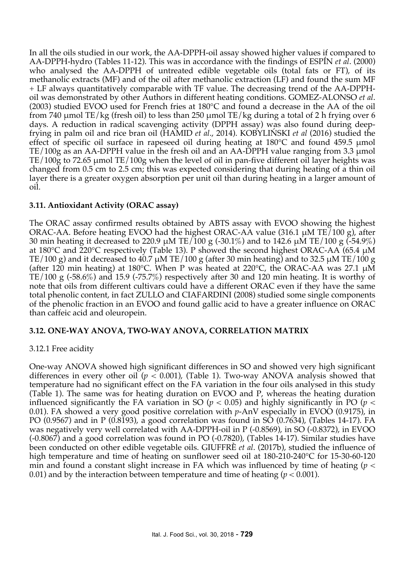In all the oils studied in our work, the AA-DPPH-oil assay showed higher values if compared to AA-DPPH-hydro (Tables 11-12). This was in accordance with the findings of ESPÍN *et al*. (2000) who analysed the AA-DPPH of untreated edible vegetable oils (total fats or FT), of its methanolic extracts (MF) and of the oil after methanolic extraction (LF) and found the sum MF + LF always quantitatively comparable with TF value. The decreasing trend of the AA-DPPHoil was demonstrated by other Authors in different heating conditions. GOMEZ-ALONSO *et al*. (2003) studied EVOO used for French fries at 180°C and found a decrease in the AA of the oil from 740  $\mu$ mol TE/kg (fresh oil) to less than 250  $\mu$ mol TE/kg during a total of 2 h frying over 6 days. A reduction in radical scavenging activity (DPPH assay) was also found during deepfrying in palm oil and rice bran oil (HAMID *et al*., 2014). KOBYLIŃSKI *et al* (2016) studied the effect of specific oil surface in rapeseed oil during heating at  $180^{\circ}$ C and found  $459.5 \mu$ mol  $TE/100g$  as an AA-DPPH value in the fresh oil and an AA-DPPH value ranging from 3.3  $\mu$ mol TE/100g to 72.65  $\mu$ mol TE/100g when the level of oil in pan-five different oil layer heights was changed from 0.5 cm to 2.5 cm; this was expected considering that during heating of a thin oil layer there is a greater oxygen absorption per unit oil than during heating in a larger amount of oil.

# **3.11. Antioxidant Activity (ORAC assay)**

The ORAC assay confirmed results obtained by ABTS assay with EVOO showing the highest ORAC-AA. Before heating EVOO had the highest ORAC-AA value  $(316.1 \mu M TE/100 \text{ g})$ , after 30 min heating it decreased to 220.9  $\mu$ M TE/100 g (-30.1%) and to 142.6  $\mu$ M TE/100 g (-54.9%) at 180 $\degree$ C and 220 $\degree$ C respectively (Table 13). P showed the second highest ORAC-AA (65.4 µM TE/100 g) and it decreased to 40.7  $\mu$ M TE/100 g (after 30 min heating) and to 32.5  $\mu$ M TE/100 g (after 120 min heating) at 180 °C. When P was heated at 220 °C, the ORAC-AA was 27.1  $\mu$ M TE/100 g (-58.6%) and 15.9 (-75.7%) respectively after 30 and 120 min heating. It is worthy of note that oils from different cultivars could have a different ORAC even if they have the same total phenolic content, in fact ZULLO and CIAFARDINI (2008) studied some single components of the phenolic fraction in an EVOO and found gallic acid to have a greater influence on ORAC than caffeic acid and oleuropein.

# **3.12. ONE-WAY ANOVA, TWO-WAY ANOVA, CORRELATION MATRIX**

# 3.12.1 Free acidity

One-way ANOVA showed high significant differences in SO and showed very high significant differences in every other oil ( $p < 0.001$ ), (Table 1). Two-way ANOVA analysis showed that temperature had no significant effect on the FA variation in the four oils analysed in this study (Table 1). The same was for heating duration on EVOO and P, whereas the heating duration influenced significantly the FA variation in SO ( $p < 0.05$ ) and highly significantly in PO ( $p <$ 0.01). FA showed a very good positive correlation with *p*-AnV especially in EVOO (0.9175), in PO (0.9567) and in P (0.8193), a good correlation was found in  $SO(0.7634)$ , (Tables 14-17). FA was negatively very well correlated with AA-DPPH-oil in P (-0.8569), in SO (-0.8372), in EVOO (-0.8067) and a good correlation was found in PO (-0.7820), (Tables 14-17). Similar studies have been conducted on other edible vegetable oils. GIUFFRÈ *et al*. (2017b), studied the influence of high temperature and time of heating on sunflower seed oil at 180-210-240 °C for 15-30-60-120 min and found a constant slight increase in FA which was influenced by time of heating (*p* < 0.01) and by the interaction between temperature and time of heating  $(p < 0.001)$ .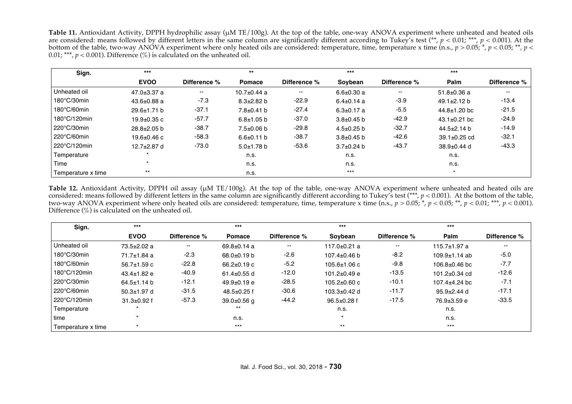**Table 11.** Antioxidant Activity, DPPH hydrophilic assay ( $\mu$ M TE/100g). At the top of the table, one-way ANOVA experiment where unheated and heated oils are considered: means followed by different letters in the same column are significantly different according to Tukey's test (\*\*, *p* < 0.01; \*\*\*, *p* < 0.001). At the bottom of the table, two-way ANOVA experiment where only heated oils are considered: temperature, time, temperature x time (n.s., *p* > 0.05; \*, *p* < 0.05; \*\*, *p* < 0.01; \*\*\*,  $p < 0.001$ ). Difference  $(\%)$  is calculated on the unheated oil.

| Sign.                 | $***$             |                          | $***$             |              | $***$            |              | $***$              |              |
|-----------------------|-------------------|--------------------------|-------------------|--------------|------------------|--------------|--------------------|--------------|
|                       | <b>EVOO</b>       | Difference %             | <b>Pomace</b>     | Difference % | Soybean          | Difference % | Palm               | Difference % |
| Unheated oil          | $47.0 \pm 3.37$ a | $\overline{\phantom{a}}$ | $10.7 \pm 0.44$ a | $- -$        | $6.6 \pm 0.30$ a | $- -$        | $51.8 \pm 0.36$ a  | $- -$        |
| 180°C/30min           | $43.6 \pm 0.88$ a | $-7.3$                   | $8.3 \pm 2.82$ b  | $-22.9$      | $6.4 \pm 0.14$ a | $-3.9$       | $49.1 \pm 2.12$ b  | $-13.4$      |
| 180°C/60min           | $29.6 \pm 1.71$ b | $-37.1$                  | $7.8 \pm 0.41$ b  | $-27.4$      | $6.3 \pm 0.17$ a | $-5.5$       | $44.8 \pm 1.20$ bc | $-21.5$      |
| 180°C/120min          | $19.9 + 0.35c$    | $-57.7$                  | $6.8 \pm 1.05$ b  | $-37.0$      | $3.8 \pm 0.45$ b | $-42.9$      | $43.1 \pm 0.21$ bc | $-24.9$      |
| $220^{\circ}$ C/30min | $28.8 \pm 2.05$ b | $-38.7$                  | $7.5 \pm 0.06$ b  | $-29.8$      | $4.5 \pm 0.25$ b | $-32.7$      | $44.5 \pm 2.14$ b  | $-14.9$      |
| $220^{\circ}$ C/60min | $19.6 \pm 0.46$ c | $-58.3$                  | $6.6 \pm 0.11$ b  | $-38.7$      | $3.8 \pm 0.45$ b | $-42.6$      | $39.1 \pm 0.25$ cd | $-32.1$      |
| 220°C/120min          | $12.7 \pm 2.87$ d | -73.0                    | $5.0 \pm 1.78$ b  | $-53.6$      | $3.7 \pm 0.24$ b | $-43.7$      | 38.9±0.44 d        | $-43.3$      |
| Temperature           |                   |                          | n.s.              |              | n.s.             |              | n.s.               |              |
| Time                  | $\star$           |                          | n.s.              |              | n.s.             |              | n.s.               |              |
| Temperature x time    | $***$             |                          | n.s.              |              | $***$            |              | $\star$            |              |

Table 12. Antioxidant Activity, DPPH oil assay (µM TE/100g). At the top of the table, one-way ANOVA experiment where unheated and heated oils are considered: means followed by different letters in the same column are significantly different according to Tukey's test  $(***$ ,  $p < 0.001$ ). At the bottom of the table, two-way ANOVA experiment where only heated oils are considered: temperature, time, temperature x time (n.s.,  $p > 0.05$ ; \*,  $p < 0.05$ ; \*\*,  $p < 0.01$ ; \*\*\*,  $p < 0.001$ ). Difference  $(\%)$  is calculated on the unheated oil.

| Sign.                 | $***$             |                          | $***$             |              | $***$              |              | $***$               |              |
|-----------------------|-------------------|--------------------------|-------------------|--------------|--------------------|--------------|---------------------|--------------|
|                       | <b>EVOO</b>       | Difference %             | <b>Pomace</b>     | Difference % | Soybean            | Difference % | Palm                | Difference % |
| Unheated oil          | $73.5 \pm 2.02$ a | $\overline{\phantom{a}}$ | $69.8 \pm 0.14$ a | --           | $117.0 \pm 0.21$ a | $- -$        | $115.7 \pm 1.97$ a  | $- -$        |
| 180°C/30min           | $71.7 \pm 1.84$ a | $-2.3$                   | $68.0 + 0.19$ b   | $-2.6$       | $107.4 \pm 0.46$ b | $-8.2$       | $109.9 \pm 1.14$ ab | $-5.0$       |
| $180^{\circ}$ C/60min | $56.7 \pm 1.59$ c | $-22.8$                  | $66.2 \pm 0.19$ c | $-5.2$       | $105.6 \pm 1.06$ c | $-9.8$       | $106.8 \pm 0.46$ bc | $-7.7$       |
| 180°C/120min          | $43.4 \pm 1.82$ e | $-40.9$                  | $61.4 \pm 0.55$ d | $-12.0$      | $101.2 \pm 0.49$ e | $-13.5$      | 101.2±0.34 cd       | $-12.6$      |
| 220°C/30min           | $64.5 \pm 1.14$ b | $-12.1$                  | $49.9+0.19 e$     | $-28.5$      | $105.2 \pm 0.60$ c | $-10.1$      | 107.4 $\pm$ 4.24 bc | $-7.1$       |
| $220^{\circ}$ C/60min | $50.3 \pm 1.97$ d | $-31.5$                  | $48.5 \pm 0.25$ f | $-30.6$      | 103.3±0.42 d       | $-11.7$      | $95.9 \pm 2.44$ d   | $-17.1$      |
| 220°C/120min          | $31.3 \pm 0.92$ f | $-57.3$                  | $39.0 \pm 0.56$ q | $-44.2$      | $96.5 \pm 0.28$ f  | $-17.5$      | 76.9±3.59 e         | $-33.5$      |
| Temperature           |                   |                          | $***$             |              | n.s.               |              | n.s.                |              |
| time                  |                   |                          | n.s.              |              | $\star$            |              | n.s.                |              |
| Temperature x time    |                   |                          | $***$             |              | $***$              |              | $***$               |              |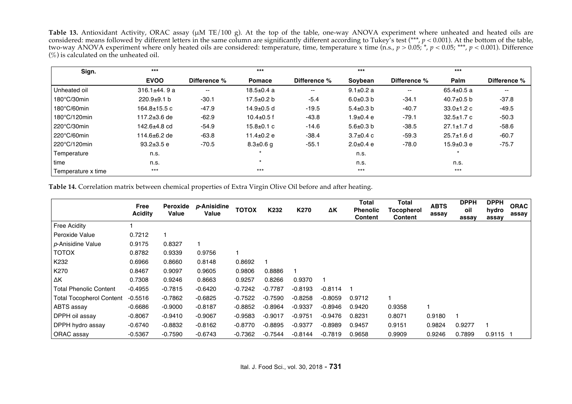Table 13. Antioxidant Activity, ORAC assay (µM TE/100 g). At the top of the table, one-way ANOVA experiment where unheated and heated oils are considered: means followed by different letters in the same column are significantly different according to Tukey's test (\*\*\*, *p* < 0.001). At the bottom of the table, two-way ANOVA experiment where only heated oils are considered: temperature, time, temperature x time  $(n.s., p > 0.05; *, p < 0.05; **$ ,  $p < 0.001$ ). Difference  $(\%)$  is calculated on the unheated oil.

| Sign.                 | $***$              |                          | $***$            |                          | $***$           |              | $***$            |              |
|-----------------------|--------------------|--------------------------|------------------|--------------------------|-----------------|--------------|------------------|--------------|
|                       | <b>EVOO</b>        | Difference %             | <b>Pomace</b>    | Difference %             | Soybean         | Difference % | Palm             | Difference % |
| Unheated oil          | $316.1 \pm 44.9 a$ | $\overline{\phantom{a}}$ | $18.5 \pm 0.4$ a | $\overline{\phantom{a}}$ | $9.1 \pm 0.2$ a | --           | $65.4 \pm 0.5$ a | --           |
| 180°C/30min           | $220.9+9.1 b$      | $-30.1$                  | $17.5 \pm 0.2$ b | $-5.4$                   | $6.0 \pm 0.3$ b | $-34.1$      | $40.7 \pm 0.5$ b | $-37.8$      |
| 180°C/60min           | $164.8 \pm 15.5$ c | $-47.9$                  | $14.9 + 0.5$ d   | $-19.5$                  | $5.4 \pm 0.3$ b | $-40.7$      | $33.0 + 1.2c$    | $-49.5$      |
| 180°C/120min          | $117.2 \pm 3.6$ de | $-62.9$                  | $10.4 \pm 0.5$ f | $-43.8$                  | 1.9±0.4 e       | $-79.1$      | $32.5 \pm 1.7$ c | $-50.3$      |
| 220°C/30min           | 142.6±4.8 cd       | $-54.9$                  | $15.8 \pm 0.1$ c | $-14.6$                  | $5.6 \pm 0.3$ b | $-38.5$      | $27.1 \pm 1.7$ d | $-58.6$      |
| $220^{\circ}$ C/60min | 114.6 $\pm$ 6.2 de | $-63.8$                  | $11.4 \pm 0.2 e$ | $-38.4$                  | $3.7 \pm 0.4$ c | $-59.3$      | $25.7 \pm 1.6$ d | $-60.7$      |
| 220°C/120min          | $93.2 \pm 3.5$ e   | $-70.5$                  | $8.3 \pm 0.6$ q  | $-55.1$                  | $2.0 \pm 0.4$ e | $-78.0$      | $15.9 + 0.3 e$   | $-75.7$      |
| Temperature           | n.s.               |                          | $\star$          |                          | n.s.            |              | $\star$          |              |
| time                  | n.s.               |                          | $\star$          |                          | n.s.            |              | n.s.             |              |
| Temperature x time    | $***$              |                          | $***$            |                          | $***$           |              | $***$            |              |

**Table 14.** Correlation matrix between chemical properties of Extra Virgin Olive Oil before and after heating.

|                                 | Free<br><b>Acidity</b> | Peroxide<br>Value | p-Anisidine<br>Value | <b>TOTOX</b> | K <sub>232</sub> | K270      | ΔΚ        | Total<br><b>Phenolic</b><br><b>Content</b> | Total<br>Tocopherol<br>Content | <b>ABTS</b><br>assay | <b>DPPH</b><br>oil<br>assay | <b>DPPH</b><br>hydro<br>assay | <b>ORAC</b><br>assay |
|---------------------------------|------------------------|-------------------|----------------------|--------------|------------------|-----------|-----------|--------------------------------------------|--------------------------------|----------------------|-----------------------------|-------------------------------|----------------------|
| <b>Free Acidity</b>             |                        |                   |                      |              |                  |           |           |                                            |                                |                      |                             |                               |                      |
| Peroxide Value                  | 0.7212                 |                   |                      |              |                  |           |           |                                            |                                |                      |                             |                               |                      |
| p-Anisidine Value               | 0.9175                 | 0.8327            |                      |              |                  |           |           |                                            |                                |                      |                             |                               |                      |
| <b>TOTOX</b>                    | 0.8782                 | 0.9339            | 0.9756               |              |                  |           |           |                                            |                                |                      |                             |                               |                      |
| K <sub>232</sub>                | 0.6966                 | 0.8660            | 0.8148               | 0.8692       | 1                |           |           |                                            |                                |                      |                             |                               |                      |
| K270                            | 0.8467                 | 0.9097            | 0.9605               | 0.9806       | 0.8886           |           |           |                                            |                                |                      |                             |                               |                      |
| ΔΚ                              | 0.7308                 | 0.9246            | 0.8663               | 0.9257       | 0.8266           | 0.9370    |           |                                            |                                |                      |                             |                               |                      |
| <b>Total Phenolic Content</b>   | $-0.4955$              | $-0.7815$         | $-0.6420$            | $-0.7242$    | $-0.7787$        | $-0.8193$ | $-0.8114$ |                                            |                                |                      |                             |                               |                      |
| <b>Total Tocopherol Content</b> | $-0.5516$              | $-0.7862$         | $-0.6825$            | $-0.7522$    | $-0.7590$        | $-0.8258$ | $-0.8059$ | 0.9712                                     |                                |                      |                             |                               |                      |
| ABTS assay                      | $-0.6686$              | $-0.9000$         | $-0.8187$            | $-0.8852$    | $-0.8964$        | $-0.9337$ | $-0.8946$ | 0.9420                                     | 0.9358                         |                      |                             |                               |                      |
| DPPH oil assay                  | $-0.8067$              | $-0.9410$         | $-0.9067$            | $-0.9583$    | $-0.9017$        | $-0.9751$ | -0.9476   | 0.8231                                     | 0.8071                         | 0.9180               |                             |                               |                      |
| DPPH hydro assay                | $-0.6740$              | $-0.8832$         | $-0.8162$            | $-0.8770$    | $-0.8895$        | $-0.9377$ | $-0.8989$ | 0.9457                                     | 0.9151                         | 0.9824               | 0.9277                      |                               |                      |
| ORAC assay                      | $-0.5367$              | $-0.7590$         | $-0.6743$            | $-0.7362$    | $-0.7544$        | $-0.8144$ | $-0.7819$ | 0.9658                                     | 0.9909                         | 0.9246               | 0.7899                      | $0.9115$ 1                    |                      |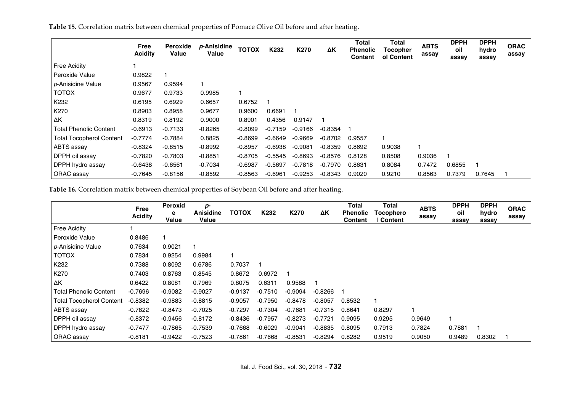**Table 15.** Correlation matrix between chemical properties of Pomace Olive Oil before and after heating.

|                                 | Free<br><b>Acidity</b> | <b>Peroxide</b><br>Value | p-Anisidine<br>Value | <b>TOTOX</b> | K <sub>232</sub> | K270      | ΔΚ        | Total<br><b>Phenolic</b><br><b>Content</b> | Total<br><b>Tocopher</b><br>ol Content | <b>ABTS</b><br>assay | <b>DPPH</b><br>oil<br>assay | <b>DPPH</b><br>hydro<br>assay | <b>ORAC</b><br>assay |
|---------------------------------|------------------------|--------------------------|----------------------|--------------|------------------|-----------|-----------|--------------------------------------------|----------------------------------------|----------------------|-----------------------------|-------------------------------|----------------------|
| <b>Free Acidity</b>             |                        |                          |                      |              |                  |           |           |                                            |                                        |                      |                             |                               |                      |
| Peroxide Value                  | 0.9822                 |                          |                      |              |                  |           |           |                                            |                                        |                      |                             |                               |                      |
| p-Anisidine Value               | 0.9567                 | 0.9594                   |                      |              |                  |           |           |                                            |                                        |                      |                             |                               |                      |
| <b>TOTOX</b>                    | 0.9677                 | 0.9733                   | 0.9985               |              |                  |           |           |                                            |                                        |                      |                             |                               |                      |
| K <sub>232</sub>                | 0.6195                 | 0.6929                   | 0.6657               | 0.6752       |                  |           |           |                                            |                                        |                      |                             |                               |                      |
| K270                            | 0.8903                 | 0.8958                   | 0.9677               | 0.9600       | 0.6691           |           |           |                                            |                                        |                      |                             |                               |                      |
| ΔΚ                              | 0.8319                 | 0.8192                   | 0.9000               | 0.8901       | 0.4356           | 0.9147    |           |                                            |                                        |                      |                             |                               |                      |
| <b>Total Phenolic Content</b>   | $-0.6913$              | $-0.7133$                | $-0.8265$            | $-0.8099$    | $-0.7159$        | $-0.9166$ | -0.8354   |                                            |                                        |                      |                             |                               |                      |
| <b>Total Tocopherol Content</b> | $-0.7774$              | $-0.7884$                | 0.8825               | $-0.8699$    | -0.6649          | $-0.9669$ | -0.8702   | 0.9557                                     |                                        |                      |                             |                               |                      |
| ABTS assay                      | $-0.8324$              | $-0.8515$                | $-0.8992$            | $-0.8957$    | -0.6938          | $-0.9081$ | $-0.8359$ | 0.8692                                     | 0.9038                                 |                      |                             |                               |                      |
| DPPH oil assay                  | $-0.7820$              | $-0.7803$                | $-0.8851$            | $-0.8705$    | $-0.5545$        | $-0.8693$ | $-0.8576$ | 0.8128                                     | 0.8508                                 | 0.9036               |                             |                               |                      |
| DPPH hydro assay                | $-0.6438$              | $-0.6561$                | $-0.7034$            | $-0.6987$    | $-0.5697$        | $-0.7818$ | -0.7970   | 0.8631                                     | 0.8084                                 | 0.7472               | 0.6855                      |                               |                      |
| ORAC assay                      | $-0.7645$              | $-0.8156$                | $-0.8592$            | $-0.8563$    | $-0.6961$        | $-0.9253$ | -0.8343   | 0.9020                                     | 0.9210                                 | 0.8563               | 0.7379                      | 0.7645                        |                      |

**Table 16.** Correlation matrix between chemical properties of Soybean Oil before and after heating.

|                                 | Free<br><b>Acidity</b> | Peroxid<br>е<br>Value | p-<br><b>Anisidine</b><br>Value | <b>TOTOX</b> | K <sub>232</sub> | K270      | ΔΚ        | <b>Total</b><br><b>Phenolic</b><br><b>Content</b> | Total<br>Tocophero<br>I Content | <b>ABTS</b><br>assay | <b>DPPH</b><br>oil<br>assay | <b>DPPH</b><br>hydro<br>assay | <b>ORAC</b><br>assay |
|---------------------------------|------------------------|-----------------------|---------------------------------|--------------|------------------|-----------|-----------|---------------------------------------------------|---------------------------------|----------------------|-----------------------------|-------------------------------|----------------------|
| <b>Free Acidity</b>             |                        |                       |                                 |              |                  |           |           |                                                   |                                 |                      |                             |                               |                      |
| Peroxide Value                  | 0.8486                 |                       |                                 |              |                  |           |           |                                                   |                                 |                      |                             |                               |                      |
| p-Anisidine Value               | 0.7634                 | 0.9021                |                                 |              |                  |           |           |                                                   |                                 |                      |                             |                               |                      |
| <b>TOTOX</b>                    | 0.7834                 | 0.9254                | 0.9984                          |              |                  |           |           |                                                   |                                 |                      |                             |                               |                      |
| K <sub>232</sub>                | 0.7388                 | 0.8092                | 0.6786                          | 0.7037       |                  |           |           |                                                   |                                 |                      |                             |                               |                      |
| K270                            | 0.7403                 | 0.8763                | 0.8545                          | 0.8672       | 0.6972           |           |           |                                                   |                                 |                      |                             |                               |                      |
| ΔΚ                              | 0.6422                 | 0.8081                | 0.7969                          | 0.8075       | 0.6311           | 0.9588    |           |                                                   |                                 |                      |                             |                               |                      |
| <b>Total Phenolic Content</b>   | $-0.7696$              | $-0.9082$             | $-0.9027$                       | $-0.9137$    | $-0.7510$        | $-0.9094$ | $-0.8266$ |                                                   |                                 |                      |                             |                               |                      |
| <b>Total Tocopherol Content</b> | $-0.8382$              | $-0.9883$             | $-0.8815$                       | $-0.9057$    | $-0.7950$        | $-0.8478$ | $-0.8057$ | 0.8532                                            | 1                               |                      |                             |                               |                      |
| ABTS assay                      | $-0.7822$              | $-0.8473$             | $-0.7025$                       | $-0.7297$    | $-0.7304$        | $-0.7681$ | $-0.7315$ | 0.8641                                            | 0.8297                          |                      |                             |                               |                      |
| DPPH oil assay                  | $-0.8372$              | $-0.9456$             | $-0.8172$                       | $-0.8436$    | $-0.7957$        | $-0.8273$ | $-0.7721$ | 0.9095                                            | 0.9295                          | 0.9649               |                             |                               |                      |
| DPPH hydro assay                | $-0.7477$              | $-0.7865$             | $-0.7539$                       | $-0.7668$    | $-0.6029$        | $-0.9041$ | $-0.8835$ | 0.8095                                            | 0.7913                          | 0.7824               | 0.7881                      |                               |                      |
| ORAC assay                      | $-0.8181$              | $-0.9422$             | $-0.7523$                       | $-0.7861$    | $-0.7668$        | $-0.8531$ | $-0.8294$ | 0.8282                                            | 0.9519                          | 0.9050               | 0.9489                      | 0.8302                        |                      |

Ital. J. Food Sci., vol. 30, 2018 - **732**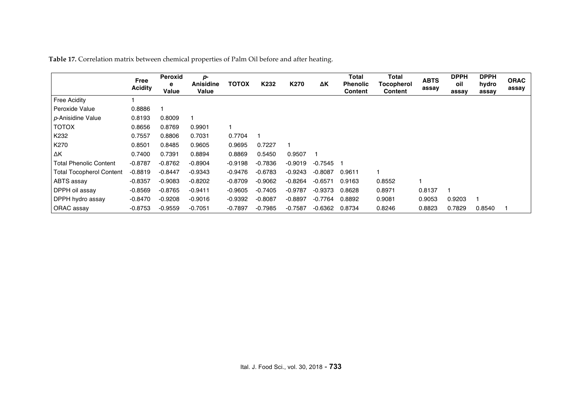|                                 | Free<br><b>Acidity</b> | <b>Peroxid</b><br>е<br>Value | p-<br><b>Anisidine</b><br>Value | <b>TOTOX</b> | K <sub>232</sub> | K270      | ΔΚ        | Total<br><b>Phenolic</b><br><b>Content</b> | <b>Total</b><br>Tocopherol<br><b>Content</b> | <b>ABTS</b><br>assay | <b>DPPH</b><br>oil<br>assay | <b>DPPH</b><br>hydro<br>assay | <b>ORAC</b><br>assay |
|---------------------------------|------------------------|------------------------------|---------------------------------|--------------|------------------|-----------|-----------|--------------------------------------------|----------------------------------------------|----------------------|-----------------------------|-------------------------------|----------------------|
| Free Acidity                    |                        |                              |                                 |              |                  |           |           |                                            |                                              |                      |                             |                               |                      |
| Peroxide Value                  | 0.8886                 |                              |                                 |              |                  |           |           |                                            |                                              |                      |                             |                               |                      |
| p-Anisidine Value               | 0.8193                 | 0.8009                       |                                 |              |                  |           |           |                                            |                                              |                      |                             |                               |                      |
| <b>TOTOX</b>                    | 0.8656                 | 0.8769                       | 0.9901                          |              |                  |           |           |                                            |                                              |                      |                             |                               |                      |
| K <sub>232</sub>                | 0.7557                 | 0.8806                       | 0.7031                          | 0.7704       |                  |           |           |                                            |                                              |                      |                             |                               |                      |
| K270                            | 0.8501                 | 0.8485                       | 0.9605                          | 0.9695       | 0.7227           |           |           |                                            |                                              |                      |                             |                               |                      |
| ΔΚ                              | 0.7400                 | 0.7391                       | 0.8894                          | 0.8869       | 0.5450           | 0.9507    |           |                                            |                                              |                      |                             |                               |                      |
| <b>Total Phenolic Content</b>   | $-0.8787$              | $-0.8762$                    | $-0.8904$                       | $-0.9198$    | $-0.7836$        | $-0.9019$ | $-0.7545$ |                                            |                                              |                      |                             |                               |                      |
| <b>Total Tocopherol Content</b> | $-0.8819$              | $-0.8447$                    | $-0.9343$                       | $-0.9476$    | $-0.6783$        | $-0.9243$ | $-0.8087$ | 0.9611                                     |                                              |                      |                             |                               |                      |
| ABTS assay                      | $-0.8357$              | $-0.9083$                    | $-0.8202$                       | $-0.8709$    | $-0.9062$        | $-0.8264$ | $-0.6571$ | 0.9163                                     | 0.8552                                       | 1                    |                             |                               |                      |
| DPPH oil assay                  | $-0.8569$              | $-0.8765$                    | $-0.9411$                       | $-0.9605$    | $-0.7405$        | $-0.9787$ | $-0.9373$ | 0.8628                                     | 0.8971                                       | 0.8137               |                             |                               |                      |
| DPPH hydro assay                | -0.8470                | $-0.9208$                    | $-0.9016$                       | $-0.9392$    | $-0.8087$        | $-0.8897$ | $-0.7764$ | 0.8892                                     | 0.9081                                       | 0.9053               | 0.9203                      |                               |                      |
| ORAC assay                      | $-0.8753$              | $-0.9559$                    | $-0.7051$                       | $-0.7897$    | $-0.7985$        | $-0.7587$ | -0.6362   | 0.8734                                     | 0.8246                                       | 0.8823               | 0.7829                      | 0.8540                        |                      |

**Table 17.** Correlation matrix between chemical properties of Palm Oil before and after heating.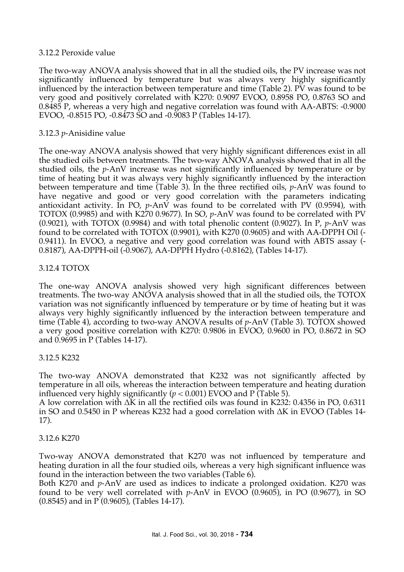#### 3.12.2 Peroxide value

The two-way ANOVA analysis showed that in all the studied oils, the PV increase was not significantly influenced by temperature but was always very highly significantly influenced by the interaction between temperature and time (Table 2). PV was found to be very good and positively correlated with K270: 0.9097 EVOO, 0.8958 PO, 0.8763 SO and 0.8485 P, whereas a very high and negative correlation was found with AA-ABTS: -0.9000 EVOO, -0.8515 PO, -0.8473 SO and -0.9083 P (Tables 14-17).

#### 3.12.3 *p*-Anisidine value

The one-way ANOVA analysis showed that very highly significant differences exist in all the studied oils between treatments. The two-way ANOVA analysis showed that in all the studied oils, the *p*-AnV increase was not significantly influenced by temperature or by time of heating but it was always very highly significantly influenced by the interaction between temperature and time (Table 3). In the three rectified oils, *p*-AnV was found to have negative and good or very good correlation with the parameters indicating antioxidant activity. In PO, *p*-AnV was found to be correlated with PV (0.9594), with TOTOX (0.9985) and with K270 0.9677). In SO, *p*-AnV was found to be correlated with PV (0.9021), with TOTOX (0.9984) and with total phenolic content (0.9027). In P, *p*-AnV was found to be correlated with TOTOX (0.9901), with K270 (0.9605) and with AA-DPPH Oil (- 0.9411). In EVOO, a negative and very good correlation was found with ABTS assay (- 0.8187), AA-DPPH-oil (-0.9067), AA-DPPH Hydro (-0.8162), (Tables 14-17).

#### 3.12.4 TOTOX

The one-way ANOVA analysis showed very high significant differences between treatments. The two-way ANOVA analysis showed that in all the studied oils, the TOTOX variation was not significantly influenced by temperature or by time of heating but it was always very highly significantly influenced by the interaction between temperature and time (Table 4), according to two-way ANOVA results of *p*-AnV (Table 3). TOTOX showed a very good positive correlation with K270: 0.9806 in EVOO, 0.9600 in PO, 0.8672 in SO and 0.9695 in P (Tables 14-17).

#### 3.12.5 K232

The two-way ANOVA demonstrated that K232 was not significantly affected by temperature in all oils, whereas the interaction between temperature and heating duration influenced very highly significantly ( $p < 0.001$ ) EVOO and P (Table 5).

A low correlation with ∆K in all the rectified oils was found in K232: 0.4356 in PO, 0.6311 in SO and 0.5450 in P whereas K232 had a good correlation with ∆K in EVOO (Tables 14- 17).

#### 3.12.6 K270

Two-way ANOVA demonstrated that K270 was not influenced by temperature and heating duration in all the four studied oils, whereas a very high significant influence was found in the interaction between the two variables (Table 6).

Both K270 and *p*-AnV are used as indices to indicate a prolonged oxidation. K270 was found to be very well correlated with *p*-AnV in EVOO (0.9605), in PO (0.9677), in SO (0.8545) and in P (0.9605), (Tables 14-17).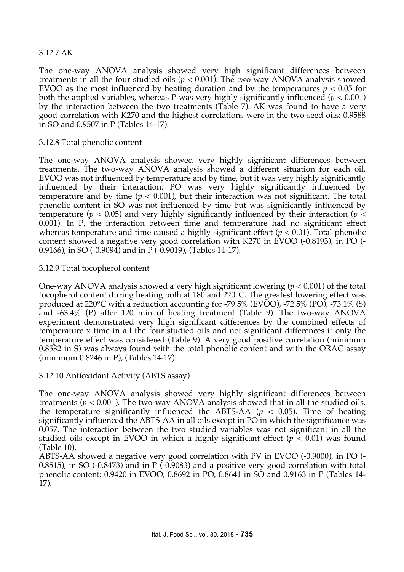#### 3.12.7 ∆K

The one-way ANOVA analysis showed very high significant differences between treatments in all the four studied oils  $(p < 0.001)$ . The two-way ANOVA analysis showed EVOO as the most influenced by heating duration and by the temperatures  $p < 0.05$  for both the applied variables, whereas P was very highly significantly influenced  $(p < 0.001)$ by the interaction between the two treatments (Table 7). ∆K was found to have a very good correlation with K270 and the highest correlations were in the two seed oils: 0.9588 in SO and 0.9507 in P (Tables 14-17).

#### 3.12.8 Total phenolic content

The one-way ANOVA analysis showed very highly significant differences between treatments. The two-way ANOVA analysis showed a different situation for each oil. EVOO was not influenced by temperature and by time, but it was very highly significantly influenced by their interaction. PO was very highly significantly influenced by temperature and by time ( $p < 0.001$ ), but their interaction was not significant. The total phenolic content in SO was not influenced by time but was significantly influenced by temperature ( $p < 0.05$ ) and very highly significantly influenced by their interaction ( $p <$ 0.001). In P, the interaction between time and temperature had no significant effect whereas temperature and time caused a highly significant effect (*p* < 0.01). Total phenolic content showed a negative very good correlation with K270 in EVOO (-0.8193), in PO (- 0.9166), in SO (-0.9094) and in P (-0.9019), (Tables 14-17).

#### 3.12.9 Total tocopherol content

One-way ANOVA analysis showed a very high significant lowering (*p* < 0.001) of the total tocopherol content during heating both at 180 and 220°C. The greatest lowering effect was produced at 220 $\degree$ C with a reduction accounting for -79.5% (EVOO), -72.5% (PO), -73.1% (S) and -63.4% (P) after 120 min of heating treatment (Table 9). The two-way ANOVA experiment demonstrated very high significant differences by the combined effects of temperature x time in all the four studied oils and not significant differences if only the temperature effect was considered (Table 9). A very good positive correlation (minimum 0.8532 in S) was always found with the total phenolic content and with the ORAC assay (minimum 0.8246 in P), (Tables 14-17).

#### 3.12.10 Antioxidant Activity (ABTS assay)

The one-way ANOVA analysis showed very highly significant differences between treatments (*p* < 0.001). The two-way ANOVA analysis showed that in all the studied oils, the temperature significantly influenced the ABTS-AA ( $p < 0.05$ ). Time of heating significantly influenced the ABTS-AA in all oils except in PO in which the significance was 0.057. The interaction between the two studied variables was not significant in all the studied oils except in EVOO in which a highly significant effect (*p* < 0.01) was found (Table 10).

ABTS-AA showed a negative very good correlation with PV in EVOO (-0.9000), in PO (- 0.8515), in SO (-0.8473) and in P  $(-0.9083)$  and a positive very good correlation with total phenolic content: 0.9420 in EVOO, 0.8692 in PO, 0.8641 in SO and 0.9163 in P (Tables 14- 17).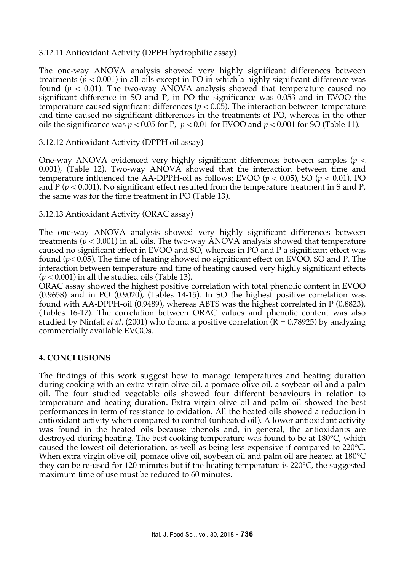#### 3.12.11 Antioxidant Activity (DPPH hydrophilic assay)

The one-way ANOVA analysis showed very highly significant differences between treatments ( $p < 0.001$ ) in all oils except in PO in which a highly significant difference was found  $(p < 0.01)$ . The two-way ANOVA analysis showed that temperature caused no significant difference in SO and P, in PO the significance was 0.053 and in EVOO the temperature caused significant differences (*p* < 0.05). The interaction between temperature and time caused no significant differences in the treatments of PO, whereas in the other oils the significance was  $p < 0.05$  for P,  $p < 0.01$  for EVOO and  $p < 0.001$  for SO (Table 11).

#### 3.12.12 Antioxidant Activity (DPPH oil assay)

One-way ANOVA evidenced very highly significant differences between samples (*p* < 0.001), (Table 12). Two-way ANOVA showed that the interaction between time and temperature influenced the AA-DPPH-oil as follows: EVOO ( $p < 0.05$ ), SO ( $p < 0.01$ ), PO and P ( $p < 0.001$ ). No significant effect resulted from the temperature treatment in S and P, the same was for the time treatment in PO (Table 13).

3.12.13 Antioxidant Activity (ORAC assay)

The one-way ANOVA analysis showed very highly significant differences between treatments  $(p < 0.001)$  in all oils. The two-way ANOVA analysis showed that temperature caused no significant effect in EVOO and SO, whereas in PO and P a significant effect was found (*p*< 0.05). The time of heating showed no significant effect on EVOO, SO and P. The interaction between temperature and time of heating caused very highly significant effects  $(p < 0.001)$  in all the studied oils (Table 13).

ORAC assay showed the highest positive correlation with total phenolic content in EVOO (0.9658) and in PO (0.9020), (Tables 14-15). In SO the highest positive correlation was found with AA-DPPH-oil (0.9489), whereas ABTS was the highest correlated in P (0.8823), (Tables 16-17). The correlation between ORAC values and phenolic content was also studied by Ninfali *et al*. (2001) who found a positive correlation (R = 0.78925) by analyzing commercially available EVOOs.

# **4. CONCLUSIONS**

The findings of this work suggest how to manage temperatures and heating duration during cooking with an extra virgin olive oil, a pomace olive oil, a soybean oil and a palm oil. The four studied vegetable oils showed four different behaviours in relation to temperature and heating duration. Extra virgin olive oil and palm oil showed the best performances in term of resistance to oxidation. All the heated oils showed a reduction in antioxidant activity when compared to control (unheated oil). A lower antioxidant activity was found in the heated oils because phenols and, in general, the antioxidants are destroyed during heating. The best cooking temperature was found to be at 180°C, which caused the lowest oil deterioration, as well as being less expensive if compared to 220°C. When extra virgin olive oil, pomace olive oil, soybean oil and palm oil are heated at 180°C they can be re-used for 120 minutes but if the heating temperature is 220°C, the suggested maximum time of use must be reduced to 60 minutes.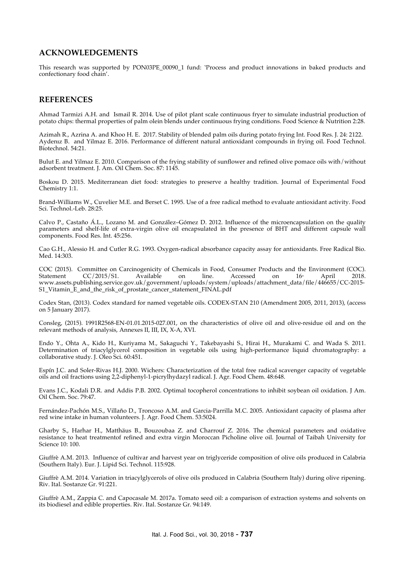#### **ACKNOWLEDGEMENTS**

This research was supported by PON03PE\_00090\_1 fund: 'Process and product innovations in baked products and confectionary food chain'.

#### **REFERENCES**

Ahmad Tarmizi A.H. and Ismail R. 2014. Use of pilot plant scale continuous fryer to simulate industrial production of potato chips: thermal properties of palm olein blends under continuous frying conditions. Food Science & Nutrition 2:28.

Azimah R., Azrina A. and Khoo H. E. 2017. Stability of blended palm oils during potato frying Int. Food Res. J. 24: 2122. Aydenız B. and Yilmaz E. 2016. Performance of different natural antioxidant compounds in frying oil. Food Technol. Biotechnol. 54:21.

Bulut E. and Yilmaz E. 2010. Comparison of the frying stability of sunflower and refined olive pomace oils with/without adsorbent treatment. J. Am. Oil Chem. Soc. 87: 1145.

Boskou D. 2015. Mediterranean diet food: strategies to preserve a healthy tradition. Journal of Experimental Food Chemistry 1:1.

Brand-Williams W., Cuvelier M.E. and Berset C. 1995. Use of a free radical method to evaluate antioxidant activity. Food Sci. Technol.-Leb. 28:25.

Calvo P., Castaño Á.L., Lozano M. and González–Gómez D. 2012. Influence of the microencapsulation on the quality parameters and shelf-life of extra-virgin olive oil encapsulated in the presence of BHT and different capsule wall components. Food Res. Int. 45:256.

Cao G.H., Alessio H. and Cutler R.G. 1993. Oxygen-radical absorbance capacity assay for antioxidants. Free Radical Bio. Med. 14:303.

COC (2015). Committee on Carcinogenicity of Chemicals in Food, Consumer Products and the Environment (COC). Statement  $CC/2015/S1$ . Available on line. Accessed on  $16^{\circ}$  April 2018. www.assets.publishing.service.gov.uk/government/uploads/system/uploads/attachment\_data/file/446655/CC-2015- S1\_Vitamin\_E\_and\_the\_risk\_of\_prostate\_cancer\_statement\_FINAL.pdf

Codex Stan, (2013). Codex standard for named vegetable oils. CODEX-STAN 210 (Amendment 2005, 2011, 2013), (access on 5 January 2017).

Consleg, (2015). 1991R2568-EN-01.01.2015-027.001, on the characteristics of olive oil and olive-residue oil and on the relevant methods of analysis, Annexes II, III, IX, X-A, XVI.

Endo Y., Ohta A., Kido H., Kuriyama M., Sakaguchi Y., Takebayashi S., Hirai H., Murakami C. and Wada S. 2011. Determination of triacylglycerol composition in vegetable oils using high-performance liquid chromatography: a collaborative study. J. Oleo Sci. 60:451.

Espín J.C. and Soler-Rivas H.J. 2000. Wichers: Characterization of the total free radical scavenger capacity of vegetable oils and oil fractions using 2,2-diphenyl-1-picrylhydazyl radical. J. Agr. Food Chem. 48:648.

Evans J.C., Kodali D.R. and Addis P.B. 2002. Optimal tocopherol concentrations to inhibit soybean oil oxidation. J Am. Oil Chem. Soc. 79:47.

Fernández-Pachón M.S., Villaño D., Troncoso A.M. and Garcia-Parrilla M.C. 2005. Antioxidant capacity of plasma after red wine intake in human volunteers. J. Agr. Food Chem. 53:5024.

Gharby S., Harhar H., Matthäus B., Bouzoubaa Z. and Charrouf Z. 2016. The chemical parameters and oxidative resistance to heat treatmentof refined and extra virgin Moroccan Picholine olive oil. Journal of Taibah University for Science 10: 100.

Giuffrè A.M. 2013. Influence of cultivar and harvest year on triglyceride composition of olive oils produced in Calabria (Southern Italy). Eur. J. Lipid Sci. Technol. 115:928.

Giuffrè A.M. 2014. Variation in triacylglycerols of olive oils produced in Calabria (Southern Italy) during olive ripening. Riv. Ital. Sostanze Gr. 91:221.

Giuffrè A.M., Zappia C. and Capocasale M. 2017a. Tomato seed oil: a comparison of extraction systems and solvents on its biodiesel and edible properties. Riv. Ital. Sostanze Gr. 94:149.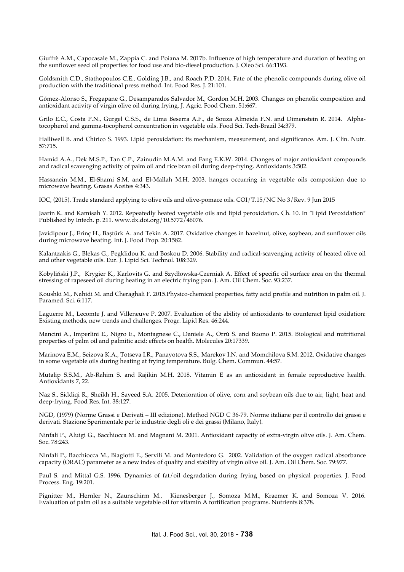Giuffrè A.M., Capocasale M., Zappia C. and Poiana M. 2017b. Influence of high temperature and duration of heating on the sunflower seed oil properties for food use and bio-diesel production. J. Oleo Sci. 66:1193.

Goldsmith C.D., Stathopoulos C.E., Golding J.B., and Roach P.D. 2014. Fate of the phenolic compounds during olive oil production with the traditional press method. Int. Food Res. J. 21:101.

Gómez-Alonso S., Fregapane G., Desamparados Salvador M., Gordon M.H. 2003. Changes on phenolic composition and antioxidant activity of virgin olive oil during frying. J. Agric. Food Chem. 51:667.

Grilo E.C., Costa P.N., Gurgel C.S.S., de Lima Beserra A.F., de Souza Almeida F.N. and Dimenstein R. 2014. Alphatocopherol and gamma-tocopherol concentration in vegetable oils. Food Sci. Tech-Brazil 34:379.

Halliwell B. and Chirico S. 1993. Lipid peroxidation: its mechanism, measurement, and significance. Am. J. Clin. Nutr. 57:715.

Hamid A.A., Dek M.S.P., Tan C.P., Zainudin M.A.M. and Fang E.K.W. 2014. Changes of major antioxidant compounds and radical scavenging activity of palm oil and rice bran oil during deep-frying. Antioxidants 3:502.

Hassanein M.M., El-Shami S.M. and El-Mallah M.H. 2003. hanges occurring in vegetable oils composition due to microwave heating. Grasas Aceites 4:343.

IOC, (2015). Trade standard applying to olive oils and olive-pomace oils. COI/T.15/NC No 3/Rev. 9 Jun 2015

Jaarin K. and Kamisah Y. 2012. Repeatedly heated vegetable oils and lipid peroxidation. Ch. 10. In ″Lipid Peroxidation″ Published by Intech. p. 211. www. $dx$ .doi.org/10.5772/46076.

Javidipour J., Erinç H., Baştürk A. and Tekin A. 2017. Oxidative changes in hazelnut, olive, soybean, and sunflower oils during microwave heating. Int. J. Food Prop. 20:1582.

Kalantzakis G., Blekas G., Pegklidou K. and Boskou D. 2006. Stability and radical-scavenging activity of heated olive oil and other vegetable oils. Eur. J. Lipid Sci. Technol. 108:329.

Kobyliński J.P., Krygier K., Karlovits G. and Szydłowska-Czerniak A. Effect of specific oil surface area on the thermal stressing of rapeseed oil during heating in an electric frying pan. J. Am. Oil Chem. Soc. 93:237.

Koushki M., Nahidi M. and Cheraghali F. 2015.Physico-chemical properties, fatty acid profile and nutrition in palm oil. J. Paramed. Sci. 6:117.

Laguerre M., Lecomte J. and Villeneuve P. 2007. Evaluation of the ability of antioxidants to counteract lipid oxidation: Existing methods, new trends and challenges. Progr. Lipid Res. 46:244.

Mancini A., Imperlini E., Nigro E., Montagnese C., Daniele A., Orrù S. and Buono P. 2015. Biological and nutritional properties of palm oil and palmitic acid: effects on health. Molecules 20:17339.

Marinova E.M., Seizova K.A., Totseva I.R., Panayotova S.S., Marekov I.N. and Momchilova S.M. 2012. Oxidative changes in some vegetable oils during heating at frying temperature. Bulg. Chem. Commun. 44:57.

Mutalip S.S.M., Ab-Rahim S. and Rajikin M.H. 2018. Vitamin E as an antioxidant in female reproductive health. Antioxidants 7, 22.

Naz S., Siddiqi R., Sheikh H., Sayeed S.A. 2005. Deterioration of olive, corn and soybean oils due to air, light, heat and deep-frying. Food Res. Int. 38:127.

NGD, (1979) (Norme Grassi e Derivati – III edizione). Method NGD C 36-79. Norme italiane per il controllo dei grassi e derivati. Stazione Sperimentale per le industrie degli oli e dei grassi (Milano, Italy).

Ninfali P., Aluigi G., Bacchiocca M. and Magnani M. 2001. Antioxidant capacity of extra-virgin olive oils. J. Am. Chem. Soc. 78:243.

Ninfali P., Bacchiocca M., Biagiotti E., Servili M. and Montedoro G. 2002. Validation of the oxygen radical absorbance capacity (ORAC) parameter as a new index of quality and stability of virgin olive oil. J. Am. Oil Chem. Soc. 79:977.

Paul S. and Mittal G.S. 1996. Dynamics of fat/oil degradation during frying based on physical properties. J. Food Process. Eng. 19:201.

Pignitter M., Hernler N., Zaunschirm M., Kienesberger J., Somoza M.M., Kraemer K. and Somoza V. 2016. Evaluation of palm oil as a suitable vegetable oil for vitamin A fortification programs. Nutrients 8:378.